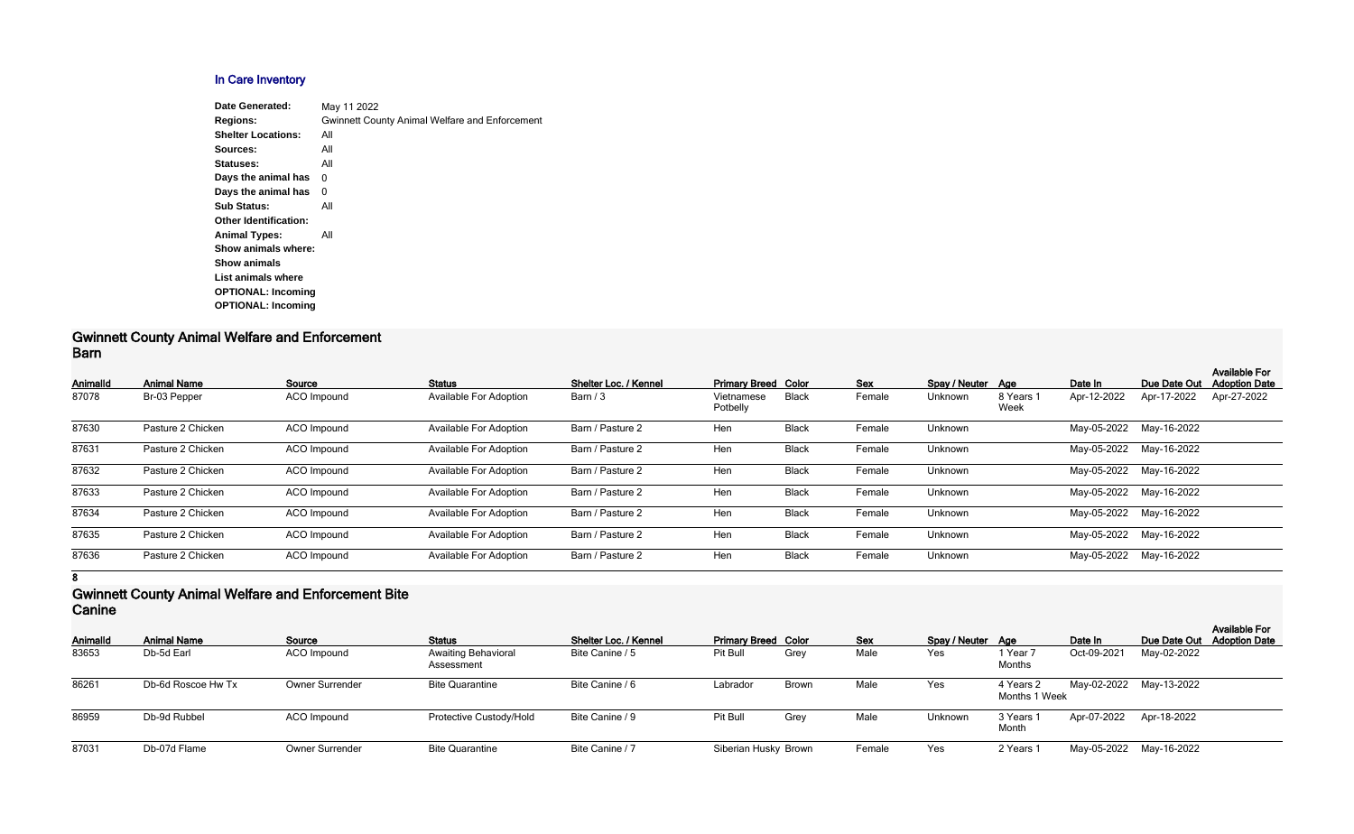## **In Care Inventory**

| Date Generated:              | May 11 2022                                           |
|------------------------------|-------------------------------------------------------|
| <b>Regions:</b>              | <b>Gwinnett County Animal Welfare and Enforcement</b> |
| <b>Shelter Locations:</b>    | All                                                   |
| Sources:                     | All                                                   |
| Statuses:                    | All                                                   |
| Days the animal has          | 0                                                     |
| Days the animal has          | 0                                                     |
| <b>Sub Status:</b>           | All                                                   |
| <b>Other Identification:</b> |                                                       |
| <b>Animal Types:</b>         | All                                                   |
| Show animals where:          |                                                       |
| <b>Show animals</b>          |                                                       |
| List animals where           |                                                       |
| <b>OPTIONAL: Incoming</b>    |                                                       |
| <b>OPTIONAL: Incoming</b>    |                                                       |
|                              |                                                       |

#### **Gwinnett County Animal Welfare and Enforcement Barn**

| <b>AnimalId</b> | <b>Animal Name</b> | Source             | <b>Status</b>                 | Shelter Loc. / Kennel | <b>Primary Breed Color</b> |              | <b>Sex</b> | Spay / Neuter Age |                   | Date In                 | Due Date Out            | <b>Available For</b><br><b>Adoption Date</b> |
|-----------------|--------------------|--------------------|-------------------------------|-----------------------|----------------------------|--------------|------------|-------------------|-------------------|-------------------------|-------------------------|----------------------------------------------|
| 87078           | Br-03 Pepper       | <b>ACO</b> Impound | <b>Available For Adoption</b> | Barn / 3              | Vietnamese<br>Potbelly     | <b>Black</b> | Female     | Unknown           | 8 Years 1<br>Week | Apr-12-2022             | Apr-17-2022             | Apr-27-2022                                  |
| 87630           | Pasture 2 Chicken  | ACO Impound        | <b>Available For Adoption</b> | Barn / Pasture 2      | Hen                        | <b>Black</b> | Female     | Unknown           |                   | May-05-2022 May-16-2022 |                         |                                              |
| 87631           | Pasture 2 Chicken  | ACO Impound        | <b>Available For Adoption</b> | Barn / Pasture 2      | Hen                        | <b>Black</b> | Female     | Unknown           |                   | May-05-2022             | May-16-2022             |                                              |
| 87632           | Pasture 2 Chicken  | ACO Impound        | <b>Available For Adoption</b> | Barn / Pasture 2      | Hen                        | <b>Black</b> | Female     | Unknown           |                   |                         | May-05-2022 May-16-2022 |                                              |
| 87633           | Pasture 2 Chicken  | ACO Impound        | <b>Available For Adoption</b> | Barn / Pasture 2      | Hen                        | <b>Black</b> | Female     | Unknown           |                   |                         | May-05-2022 May-16-2022 |                                              |
| 87634           | Pasture 2 Chicken  | ACO Impound        | <b>Available For Adoption</b> | Barn / Pasture 2      | Hen                        | <b>Black</b> | Female     | Unknown           |                   | May-05-2022             | May-16-2022             |                                              |
| 87635           | Pasture 2 Chicken  | ACO Impound        | <b>Available For Adoption</b> | Barn / Pasture 2      | Hen                        | <b>Black</b> | Female     | Unknown           |                   | May-05-2022             | May-16-2022             |                                              |
| 87636           | Pasture 2 Chicken  | ACO Impound        | <b>Available For Adoption</b> | Barn / Pasture 2      | Hen                        | <b>Black</b> | Female     | Unknown           |                   | May-05-2022             | May-16-2022             |                                              |

**8**

#### **Gwinnett County Animal Welfare and Enforcement Bite Canine**

| <b>AnimalId</b> | <b>Animal Name</b> | Source                 | <b>Status</b>                            | Shelter Loc. / Kennel | <b>Primary Breed Color</b> |              | <b>Sex</b> | Spay / Neuter Age |                            | Date In     |                         | <b>Available For</b><br>Due Date Out Adoption Date |
|-----------------|--------------------|------------------------|------------------------------------------|-----------------------|----------------------------|--------------|------------|-------------------|----------------------------|-------------|-------------------------|----------------------------------------------------|
| 83653           | Db-5d Earl         | ACO Impound            | <b>Awaiting Behavioral</b><br>Assessment | Bite Canine / 5       | Pit Bull                   | Grey         | Male       | Yes               | 1 Year 7<br>Months         | Oct-09-2021 | May-02-2022             |                                                    |
| 86261           | Db-6d Roscoe Hw Tx | <b>Owner Surrender</b> | <b>Bite Quarantine</b>                   | Bite Canine / 6       | Labrador                   | <b>Brown</b> | Male       | Yes               | 4 Years 2<br>Months 1 Week |             | May-02-2022 May-13-2022 |                                                    |
| 86959           | Db-9d Rubbel       | ACO Impound            | Protective Custody/Hold                  | Bite Canine / 9       | Pit Bull                   | Grey         | Male       | Unknown           | 3 Years 1<br>Month         |             | Apr-07-2022 Apr-18-2022 |                                                    |
| 87031           | Db-07d Flame       | <b>Owner Surrender</b> | <b>Bite Quarantine</b>                   | Bite Canine / 7       | Siberian Husky Brown       |              | Female     | Yes               | 2 Years 1                  |             | May-05-2022 May-16-2022 |                                                    |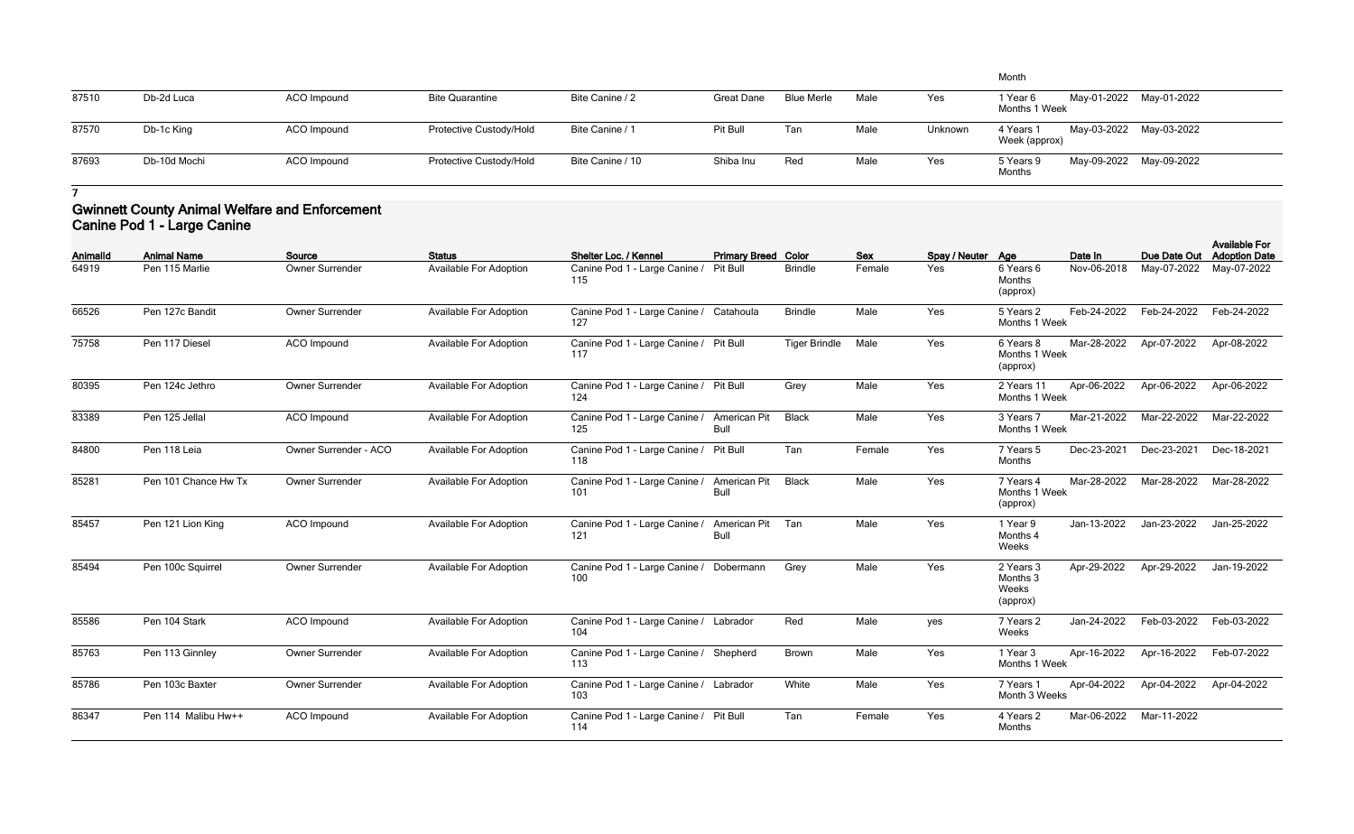|       |              |             |                         |                  |                   |                   |      |         | Month                      |                         |  |
|-------|--------------|-------------|-------------------------|------------------|-------------------|-------------------|------|---------|----------------------------|-------------------------|--|
| 87510 | Db-2d Luca   | ACO Impound | <b>Bite Quarantine</b>  | Bite Canine / 2  | <b>Great Dane</b> | <b>Blue Merle</b> | Male | Yes     | l Year 6<br>Months 1 Week  | May-01-2022 May-01-2022 |  |
| 87570 | Db-1c King   | ACO Impound | Protective Custody/Hold | Bite Canine / 1  | Pit Bull          | Tan               | Male | Unknown | 4 Years 1<br>Week (approx) | May-03-2022 May-03-2022 |  |
| 87693 | Db-10d Mochi | ACO Impound | Protective Custody/Hold | Bite Canine / 10 | Shiba Inu         | Red               | Male | Yes     | 5 Years 9<br>Months        | May-09-2022 May-09-2022 |  |

## **Gwinnett County Animal Welfare and Enforcement Canine Pod 1 - Large Canine**

| <b>AnimalId</b> | <b>Animal Name</b>   | Source                 | <b>Status</b>                 | Shelter Loc. / Kennel                          | <b>Primary Breed Color</b>         |                      | <b>Sex</b> | Spay / Neuter Age |                                            | Date In     | Due Date Out | <b>Available For</b><br><b>Adoption Date</b> |
|-----------------|----------------------|------------------------|-------------------------------|------------------------------------------------|------------------------------------|----------------------|------------|-------------------|--------------------------------------------|-------------|--------------|----------------------------------------------|
| 64919           | Pen 115 Marlie       | Owner Surrender        | <b>Available For Adoption</b> | Canine Pod 1 - Large Canine /<br>115           | Pit Bull                           | <b>Brindle</b>       | Female     | Yes               | 6 Years 6<br>Months<br>(approx)            | Nov-06-2018 | May-07-2022  | May-07-2022                                  |
| 66526           | Pen 127c Bandit      | Owner Surrender        | <b>Available For Adoption</b> | Canine Pod 1 - Large Canine / Catahoula<br>127 |                                    | <b>Brindle</b>       | Male       | Yes               | 5 Years 2<br>Months 1 Week                 | Feb-24-2022 | Feb-24-2022  | Feb-24-2022                                  |
| 75758           | Pen 117 Diesel       | ACO Impound            | <b>Available For Adoption</b> | Canine Pod 1 - Large Canine / Pit Bull<br>117  |                                    | <b>Tiger Brindle</b> | Male       | Yes               | 6 Years 8<br>Months 1 Week<br>(approx)     | Mar-28-2022 | Apr-07-2022  | Apr-08-2022                                  |
| 80395           | Pen 124c Jethro      | Owner Surrender        | <b>Available For Adoption</b> | Canine Pod 1 - Large Canine / Pit Bull<br>124  |                                    | Grey                 | Male       | Yes               | 2 Years 11<br>Months 1 Week                | Apr-06-2022 | Apr-06-2022  | Apr-06-2022                                  |
| 83389           | Pen 125 Jellal       | ACO Impound            | <b>Available For Adoption</b> | Canine Pod 1 - Large Canine /<br>125           | <b>American Pit</b><br><b>Bull</b> | <b>Black</b>         | Male       | Yes               | 3 Years 7<br>Months 1 Week                 | Mar-21-2022 | Mar-22-2022  | Mar-22-2022                                  |
| 84800           | Pen 118 Leia         | Owner Surrender - ACO  | <b>Available For Adoption</b> | Canine Pod 1 - Large Canine /<br>118           | Pit Bull                           | Tan                  | Female     | Yes               | 7 Years 5<br>Months                        | Dec-23-2021 | Dec-23-2021  | Dec-18-2021                                  |
| 85281           | Pen 101 Chance Hw Tx | <b>Owner Surrender</b> | <b>Available For Adoption</b> | Canine Pod 1 - Large Canine /<br>101           | American Pit<br><b>Bull</b>        | <b>Black</b>         | Male       | Yes               | 7 Years 4<br>Months 1 Week<br>(approx)     | Mar-28-2022 | Mar-28-2022  | Mar-28-2022                                  |
| 85457           | Pen 121 Lion King    | ACO Impound            | <b>Available For Adoption</b> | Canine Pod 1 - Large Canine /<br>121           | American Pit<br><b>Bull</b>        | Tan                  | Male       | Yes               | 1 Year 9<br>Months 4<br>Weeks              | Jan-13-2022 | Jan-23-2022  | Jan-25-2022                                  |
| 85494           | Pen 100c Squirrel    | Owner Surrender        | <b>Available For Adoption</b> | Canine Pod 1 - Large Canine /<br>100           | Dobermann                          | Grey                 | Male       | Yes               | 2 Years 3<br>Months 3<br>Weeks<br>(approx) | Apr-29-2022 | Apr-29-2022  | Jan-19-2022                                  |
| 85586           | Pen 104 Stark        | ACO Impound            | <b>Available For Adoption</b> | Canine Pod 1 - Large Canine / Labrador<br>104  |                                    | Red                  | Male       | yes               | 7 Years 2<br>Weeks                         | Jan-24-2022 | Feb-03-2022  | Feb-03-2022                                  |
| 85763           | Pen 113 Ginnley      | Owner Surrender        | Available For Adoption        | Canine Pod 1 - Large Canine /<br>113           | Shepherd                           | <b>Brown</b>         | Male       | Yes               | 1 Year 3<br>Months 1 Week                  | Apr-16-2022 | Apr-16-2022  | Feb-07-2022                                  |
| 85786           | Pen 103c Baxter      | Owner Surrender        | <b>Available For Adoption</b> | Canine Pod 1 - Large Canine / Labrador<br>103  |                                    | White                | Male       | Yes               | 7 Years 1<br>Month 3 Weeks                 | Apr-04-2022 | Apr-04-2022  | Apr-04-2022                                  |
| 86347           | Pen 114 Malibu Hw++  | <b>ACO</b> Impound     | <b>Available For Adoption</b> | Canine Pod 1 - Large Canine / Pit Bull<br>114  |                                    | Tan                  | Female     | Yes               | 4 Years 2<br>Months                        | Mar-06-2022 | Mar-11-2022  |                                              |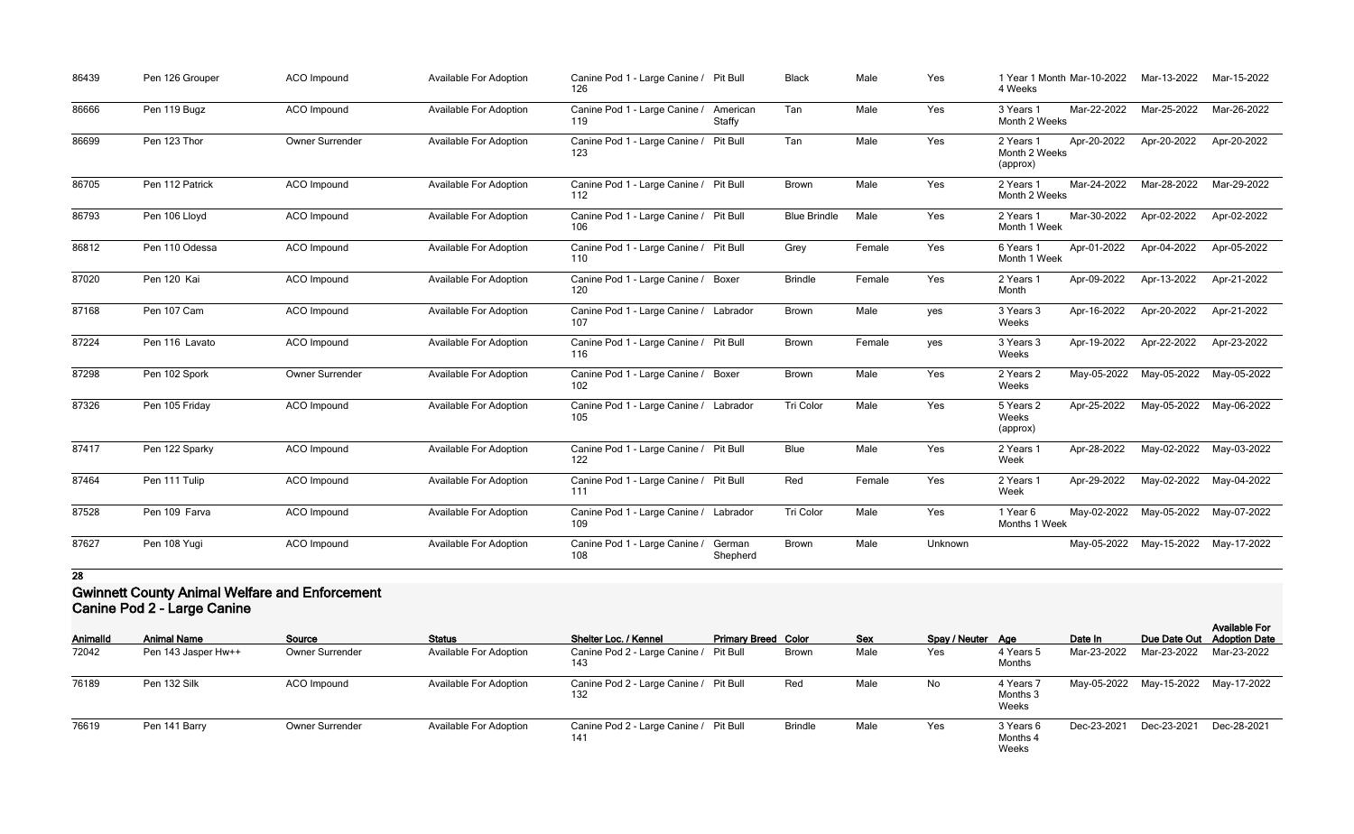| 86439 | Pen 126 Grouper | <b>ACO</b> Impound | <b>Available For Adoption</b> | Canine Pod 1 - Large Canine / Pit Bull<br>126           |                    | <b>Black</b>        | Male   | Yes     | 1 Year 1 Month Mar-10-2022<br>4 Weeks  |             | Mar-13-2022             | Mar-15-2022 |
|-------|-----------------|--------------------|-------------------------------|---------------------------------------------------------|--------------------|---------------------|--------|---------|----------------------------------------|-------------|-------------------------|-------------|
| 86666 | Pen 119 Bugz    | ACO Impound        | <b>Available For Adoption</b> | Canine Pod 1 - Large Canine /<br>119                    | American<br>Staffy | Tan                 | Male   | Yes     | 3 Years 1<br>Month 2 Weeks             | Mar-22-2022 | Mar-25-2022             | Mar-26-2022 |
| 86699 | Pen 123 Thor    | Owner Surrender    | <b>Available For Adoption</b> | Canine Pod 1 - Large Canine /<br>123                    | Pit Bull           | Tan                 | Male   | Yes     | 2 Years 1<br>Month 2 Weeks<br>(approx) | Apr-20-2022 | Apr-20-2022             | Apr-20-2022 |
| 86705 | Pen 112 Patrick | ACO Impound        | <b>Available For Adoption</b> | Canine Pod 1 - Large Canine / Pit Bull<br>112           |                    | <b>Brown</b>        | Male   | Yes     | 2 Years 1<br>Month 2 Weeks             | Mar-24-2022 | Mar-28-2022             | Mar-29-2022 |
| 86793 | Pen 106 Lloyd   | ACO Impound        | Available For Adoption        | Canine Pod 1 - Large Canine / Pit Bull<br>106           |                    | <b>Blue Brindle</b> | Male   | Yes     | 2 Years 1<br>Month 1 Week              | Mar-30-2022 | Apr-02-2022             | Apr-02-2022 |
| 86812 | Pen 110 Odessa  | ACO Impound        | <b>Available For Adoption</b> | Canine Pod 1 - Large Canine / Pit Bull<br>110           |                    | Grey                | Female | Yes     | 6 Years 1<br>Month 1 Week              | Apr-01-2022 | Apr-04-2022             | Apr-05-2022 |
| 87020 | Pen 120 Kai     | ACO Impound        | <b>Available For Adoption</b> | Canine Pod 1 - Large Canine / Boxer<br>120              |                    | <b>Brindle</b>      | Female | Yes     | 2 Years 1<br>Month                     | Apr-09-2022 | Apr-13-2022             | Apr-21-2022 |
| 87168 | Pen 107 Cam     | <b>ACO</b> Impound | <b>Available For Adoption</b> | Canine Pod 1 - Large Canine / Labrador<br>107           |                    | <b>Brown</b>        | Male   | yes     | 3 Years 3<br>Weeks                     | Apr-16-2022 | Apr-20-2022             | Apr-21-2022 |
| 87224 | Pen 116 Lavato  | ACO Impound        | <b>Available For Adoption</b> | Canine Pod 1 - Large Canine / Pit Bull<br>116           |                    | <b>Brown</b>        | Female | yes     | 3 Years 3<br>Weeks                     | Apr-19-2022 | Apr-22-2022             | Apr-23-2022 |
| 87298 | Pen 102 Spork   | Owner Surrender    | Available For Adoption        | Canine Pod 1 - Large Canine / Boxer<br>102 <sub>1</sub> |                    | <b>Brown</b>        | Male   | Yes     | 2 Years 2<br>Weeks                     |             | May-05-2022 May-05-2022 | May-05-2022 |
| 87326 | Pen 105 Friday  | ACO Impound        | <b>Available For Adoption</b> | Canine Pod 1 - Large Canine / Labrador<br>105           |                    | Tri Color           | Male   | Yes     | 5 Years 2<br>Weeks<br>(approx)         | Apr-25-2022 | May-05-2022             | May-06-2022 |
| 87417 | Pen 122 Sparky  | ACO Impound        | <b>Available For Adoption</b> | Canine Pod 1 - Large Canine / Pit Bull<br>122           |                    | <b>Blue</b>         | Male   | Yes     | 2 Years 1<br>Week                      | Apr-28-2022 | May-02-2022             | May-03-2022 |
| 87464 | Pen 111 Tulip   | ACO Impound        | <b>Available For Adoption</b> | Canine Pod 1 - Large Canine / Pit Bull<br>111           |                    | Red                 | Female | Yes     | 2 Years 1<br>Week                      | Apr-29-2022 | May-02-2022             | May-04-2022 |
| 87528 | Pen 109 Farva   | ACO Impound        | <b>Available For Adoption</b> | Canine Pod 1 - Large Canine / Labrador<br>109           |                    | Tri Color           | Male   | Yes     | 1 Year 6<br>Months 1 Week              |             | May-02-2022 May-05-2022 | May-07-2022 |
| 87627 | Pen 108 Yugi    | <b>ACO</b> Impound | <b>Available For Adoption</b> | Canine Pod 1 - Large Canine /<br>108                    | German<br>Shepherd | Brown               | Male   | Unknown |                                        |             | May-05-2022 May-15-2022 | May-17-2022 |

### **Gwinnett County Animal Welfare and Enforcement Canine Pod 2 - Large Canine**

| <b>AnimalId</b> | <b>Animal Name</b>  | Source                 | <b>Status</b>                 | Shelter Loc. / Kennel                         | <b>Primary Breed Color</b> |                | <b>Sex</b> | Spay / Neuter Age |                                | Date In     |                         | <b>Available For</b><br>Due Date Out Adoption Date |
|-----------------|---------------------|------------------------|-------------------------------|-----------------------------------------------|----------------------------|----------------|------------|-------------------|--------------------------------|-------------|-------------------------|----------------------------------------------------|
| 72042           | Pen 143 Jasper Hw++ | <b>Owner Surrender</b> | <b>Available For Adoption</b> | Canine Pod 2 - Large Canine / Pit Bull<br>143 |                            | <b>Brown</b>   | Male       | Yes               | 4 Years 5<br>Months            | Mar-23-2022 | Mar-23-2022             | Mar-23-2022                                        |
| 76189           | Pen 132 Silk        | ACO Impound            | <b>Available For Adoption</b> | Canine Pod 2 - Large Canine / Pit Bull<br>132 |                            | Rec            | Male       | No                | 4 Years 7<br>Months 3<br>Weeks |             | May-05-2022 May-15-2022 | May-17-2022                                        |
| 76619           | Pen 141 Barry       | <b>Owner Surrender</b> | <b>Available For Adoption</b> | Canine Pod 2 - Large Canine / Pit Bull<br>141 |                            | <b>Brindle</b> | Male       | Yes               | 3 Years 6<br>Months 4<br>Weeks | Dec-23-2021 | Dec-23-2021             | Dec-28-2021                                        |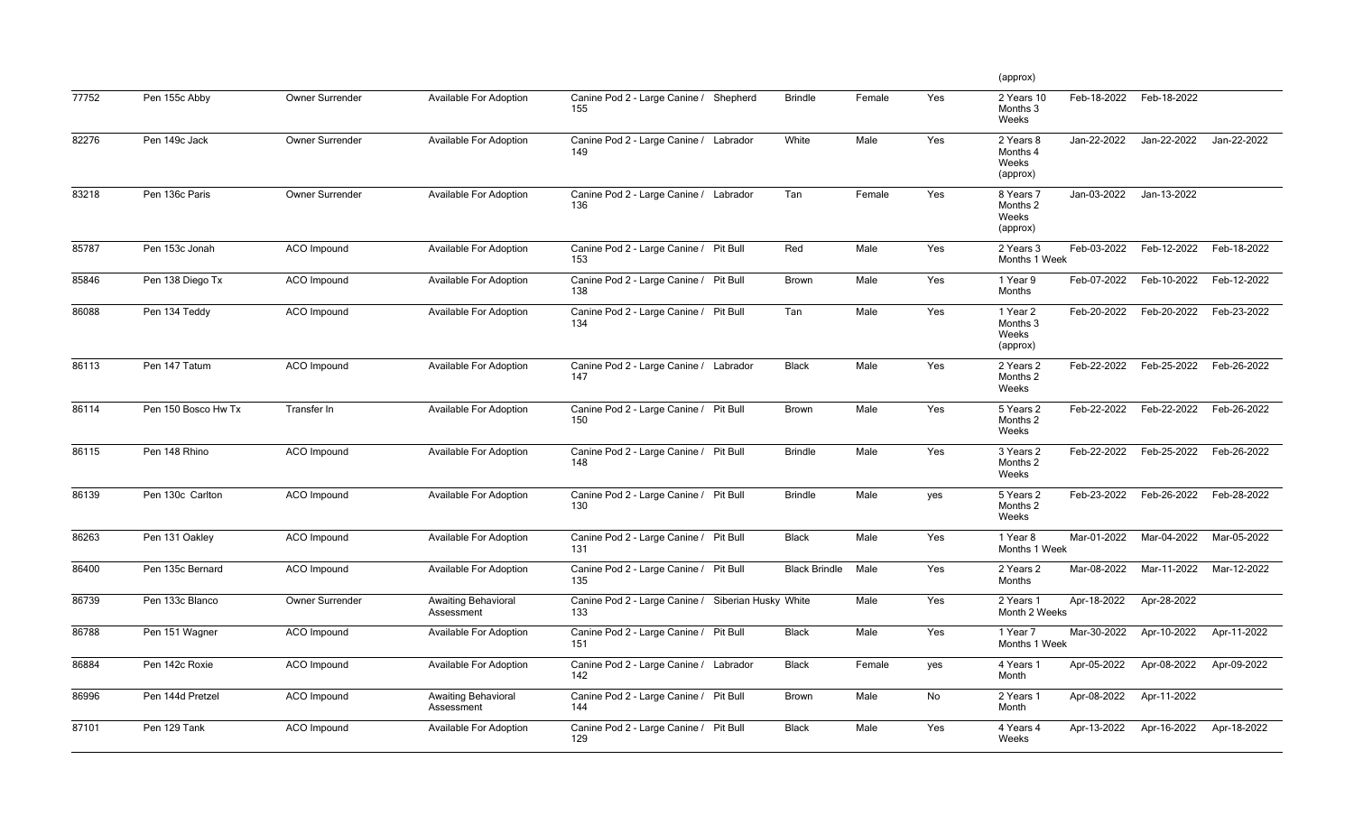|       |                     |                        |                                          |                                                           |                      |        |     | (approx)                                                  |             |             |
|-------|---------------------|------------------------|------------------------------------------|-----------------------------------------------------------|----------------------|--------|-----|-----------------------------------------------------------|-------------|-------------|
| 77752 | Pen 155c Abby       | <b>Owner Surrender</b> | Available For Adoption                   | Canine Pod 2 - Large Canine /<br>Shepherd<br>155          | <b>Brindle</b>       | Female | Yes | Feb-18-2022<br>2 Years 10<br>Months 3<br>Weeks            | Feb-18-2022 |             |
| 82276 | Pen 149c Jack       | Owner Surrender        | <b>Available For Adoption</b>            | Canine Pod 2 - Large Canine / Labrador<br>149             | White                | Male   | Yes | Jan-22-2022<br>2 Years 8<br>Months 4<br>Weeks<br>(approx) | Jan-22-2022 | Jan-22-2022 |
| 83218 | Pen 136c Paris      | <b>Owner Surrender</b> | Available For Adoption                   | Canine Pod 2 - Large Canine / Labrador<br>136             | Tan                  | Female | Yes | Jan-03-2022<br>8 Years 7<br>Months 2<br>Weeks<br>(approx) | Jan-13-2022 |             |
| 85787 | Pen 153c Jonah      | <b>ACO</b> Impound     | Available For Adoption                   | Canine Pod 2 - Large Canine / Pit Bull<br>153             | Red                  | Male   | Yes | Feb-03-2022<br>2 Years 3<br>Months 1 Week                 | Feb-12-2022 | Feb-18-2022 |
| 85846 | Pen 138 Diego Tx    | <b>ACO</b> Impound     | Available For Adoption                   | Canine Pod 2 - Large Canine / Pit Bull<br>138             | Brown                | Male   | Yes | Feb-07-2022<br>1 Year 9<br>Months                         | Feb-10-2022 | Feb-12-2022 |
| 86088 | Pen 134 Teddy       | ACO Impound            | Available For Adoption                   | Canine Pod 2 - Large Canine / Pit Bull<br>134             | Tan                  | Male   | Yes | Feb-20-2022<br>1 Year 2<br>Months 3<br>Weeks<br>(approx)  | Feb-20-2022 | Feb-23-2022 |
| 86113 | Pen 147 Tatum       | <b>ACO</b> Impound     | Available For Adoption                   | Canine Pod 2 - Large Canine / Labrador<br>147             | <b>Black</b>         | Male   | Yes | Feb-22-2022<br>2 Years 2<br>Months 2<br>Weeks             | Feb-25-2022 | Feb-26-2022 |
| 86114 | Pen 150 Bosco Hw Tx | Transfer In            | Available For Adoption                   | Canine Pod 2 - Large Canine / Pit Bull<br>150             | <b>Brown</b>         | Male   | Yes | Feb-22-2022<br>5 Years 2<br>Months 2<br>Weeks             | Feb-22-2022 | Feb-26-2022 |
| 86115 | Pen 148 Rhino       | <b>ACO Impound</b>     | Available For Adoption                   | Canine Pod 2 - Large Canine / Pit Bull<br>148             | <b>Brindle</b>       | Male   | Yes | Feb-22-2022<br>3 Years 2<br>Months 2<br>Weeks             | Feb-25-2022 | Feb-26-2022 |
| 86139 | Pen 130c Carlton    | <b>ACO</b> Impound     | Available For Adoption                   | Canine Pod 2 - Large Canine /<br>Pit Bull<br>130          | <b>Brindle</b>       | Male   | yes | Feb-23-2022<br>5 Years 2<br>Months 2<br>Weeks             | Feb-26-2022 | Feb-28-2022 |
| 86263 | Pen 131 Oakley      | ACO Impound            | Available For Adoption                   | Canine Pod 2 - Large Canine / Pit Bull<br>131             | <b>Black</b>         | Male   | Yes | Mar-01-2022<br>1 Year 8<br>Months 1 Week                  | Mar-04-2022 | Mar-05-2022 |
| 86400 | Pen 135c Bernard    | ACO Impound            | Available For Adoption                   | Canine Pod 2 - Large Canine / Pit Bull<br>135             | <b>Black Brindle</b> | Male   | Yes | Mar-08-2022<br>2 Years 2<br>Months                        | Mar-11-2022 | Mar-12-2022 |
| 86739 | Pen 133c Blanco     | Owner Surrender        | <b>Awaiting Behavioral</b><br>Assessment | Canine Pod 2 - Large Canine / Siberian Husky White<br>133 |                      | Male   | Yes | Apr-18-2022<br>2 Years 1<br>Month 2 Weeks                 | Apr-28-2022 |             |
| 86788 | Pen 151 Wagner      | ACO Impound            | Available For Adoption                   | Canine Pod 2 - Large Canine / Pit Bull<br>151             | <b>Black</b>         | Male   | Yes | Mar-30-2022<br>1 Year 7<br>Months 1 Week                  | Apr-10-2022 | Apr-11-2022 |
| 86884 | Pen 142c Roxie      | ACO Impound            | Available For Adoption                   | Canine Pod 2 - Large Canine / Labrador<br>142             | <b>Black</b>         | Female | yes | Apr-05-2022<br>4 Years 1<br>Month                         | Apr-08-2022 | Apr-09-2022 |
| 86996 | Pen 144d Pretzel    | ACO Impound            | <b>Awaiting Behavioral</b><br>Assessment | Canine Pod 2 - Large Canine / Pit Bull<br>144             | Brown                | Male   | No  | Apr-08-2022<br>2 Years 1<br>Month                         | Apr-11-2022 |             |
| 87101 | Pen 129 Tank        | ACO Impound            | Available For Adoption                   | Canine Pod 2 - Large Canine / Pit Bull<br>129             | <b>Black</b>         | Male   | Yes | Apr-13-2022<br>4 Years 4<br>Weeks                         | Apr-16-2022 | Apr-18-2022 |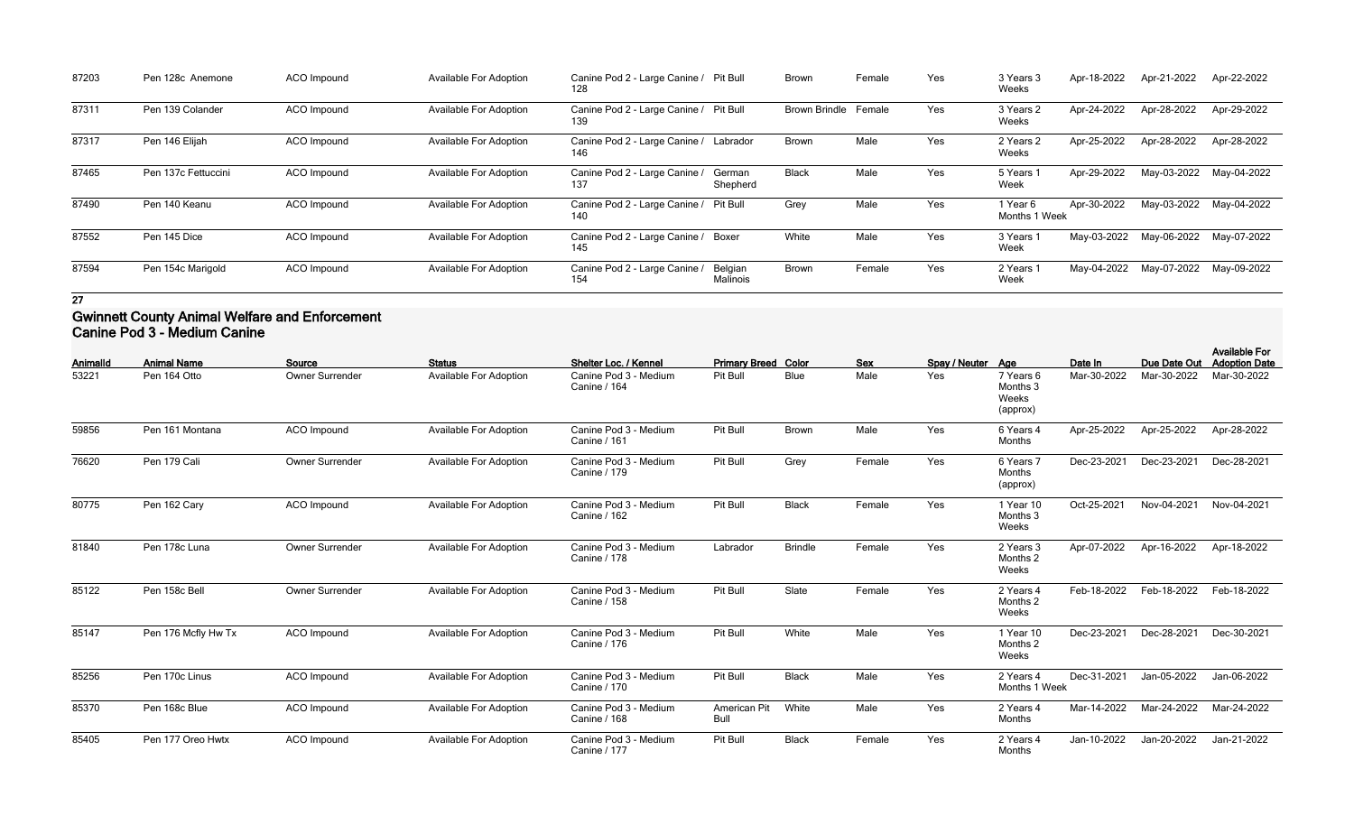| 87203 | Pen 128c Anemone    | ACO Impound        | <b>Available For Adoption</b> | Canine Pod 2 - Large Canine / Pit Bull<br>128 |                     | <b>Brown</b>                | Female | Yes | 3 Years 3<br>Weeks        | Apr-18-2022 | Apr-21-2022 | Apr-22-2022 |
|-------|---------------------|--------------------|-------------------------------|-----------------------------------------------|---------------------|-----------------------------|--------|-----|---------------------------|-------------|-------------|-------------|
| 87311 | Pen 139 Colander    | ACO Impound        | <b>Available For Adoption</b> | Canine Pod 2 - Large Canine / Pit Bull<br>139 |                     | <b>Brown Brindle Female</b> |        | Yes | 3 Years 2<br>Weeks        | Apr-24-2022 | Apr-28-2022 | Apr-29-2022 |
| 87317 | Pen 146 Elijah      | ACO Impound        | <b>Available For Adoption</b> | Canine Pod 2 - Large Canine / Labrador<br>146 |                     | <b>Brown</b>                | Male   | Yes | 2 Years 2<br>Weeks        | Apr-25-2022 | Apr-28-2022 | Apr-28-2022 |
| 87465 | Pen 137c Fettuccini | <b>ACO</b> Impound | <b>Available For Adoption</b> | Canine Pod 2 - Large Canine /<br>137          | German<br>Shepherd  | <b>Black</b>                | Male   | Yes | 5 Years 1<br>Week         | Apr-29-2022 | May-03-2022 | May-04-2022 |
| 87490 | Pen 140 Keanu       | ACO Impound        | <b>Available For Adoption</b> | Canine Pod 2 - Large Canine / Pit Bull<br>140 |                     | Grey                        | Male   | Yes | 1 Year 6<br>Months 1 Week | Apr-30-2022 | May-03-2022 | May-04-2022 |
| 87552 | Pen 145 Dice        | <b>ACO</b> Impound | <b>Available For Adoption</b> | Canine Pod 2 - Large Canine / Boxer<br>145    |                     | White                       | Male   | Yes | 3 Years 1<br>Week         | May-03-2022 | May-06-2022 | May-07-2022 |
| 87594 | Pen 154c Marigold   | ACO Impound        | <b>Available For Adoption</b> | Canine Pod 2 - Large Canine /<br>154          | Belgian<br>Malinois | <b>Brown</b>                | Female | Yes | 2 Years 1<br>Week         | May-04-2022 | May-07-2022 | May-09-2022 |

## **Gwinnett County Animal Welfare and Enforcement Canine Pod 3 - Medium Canine**

| <b>AnimalId</b> | <b>Animal Name</b>  | Source             | <b>Status</b>                 | Shelter Loc. / Kennel                        | <b>Primary Breed Color</b>  |                | <b>Sex</b> | Spay / Neuter Age |                                            | Date In     | Due Date Out | <b>Available For</b><br><b>Adoption Date</b> |
|-----------------|---------------------|--------------------|-------------------------------|----------------------------------------------|-----------------------------|----------------|------------|-------------------|--------------------------------------------|-------------|--------------|----------------------------------------------|
| 53221           | Pen 164 Otto        | Owner Surrender    | <b>Available For Adoption</b> | Canine Pod 3 - Medium<br>Canine / 164        | Pit Bull                    | <b>Blue</b>    | Male       | Yes               | 7 Years 6<br>Months 3<br>Weeks<br>(approx) | Mar-30-2022 | Mar-30-2022  | Mar-30-2022                                  |
| 59856           | Pen 161 Montana     | <b>ACO</b> Impound | <b>Available For Adoption</b> | Canine Pod 3 - Medium<br>Canine / 161        | Pit Bull                    | Brown          | Male       | Yes               | 6 Years 4<br>Months                        | Apr-25-2022 | Apr-25-2022  | Apr-28-2022                                  |
| 76620           | Pen 179 Cali        | Owner Surrender    | <b>Available For Adoption</b> | Canine Pod 3 - Medium<br>Canine / 179        | Pit Bull                    | Grey           | Female     | Yes               | 6 Years 7<br>Months<br>(approx)            | Dec-23-2021 | Dec-23-2021  | Dec-28-2021                                  |
| 80775           | Pen 162 Cary        | <b>ACO</b> Impound | <b>Available For Adoption</b> | Canine Pod 3 - Medium<br>Canine / 162        | Pit Bull                    | <b>Black</b>   | Female     | Yes               | 1 Year 10<br>Months 3<br>Weeks             | Oct-25-2021 | Nov-04-2021  | Nov-04-2021                                  |
| 81840           | Pen 178c Luna       | Owner Surrender    | <b>Available For Adoption</b> | Canine Pod 3 - Medium<br><b>Canine / 178</b> | Labrador                    | <b>Brindle</b> | Female     | Yes               | 2 Years 3<br>Months 2<br>Weeks             | Apr-07-2022 | Apr-16-2022  | Apr-18-2022                                  |
| 85122           | Pen 158c Bell       | Owner Surrender    | <b>Available For Adoption</b> | Canine Pod 3 - Medium<br>Canine / 158        | Pit Bull                    | Slate          | Female     | Yes               | 2 Years 4<br>Months 2<br>Weeks             | Feb-18-2022 | Feb-18-2022  | Feb-18-2022                                  |
| 85147           | Pen 176 Mcfly Hw Tx | <b>ACO</b> Impound | <b>Available For Adoption</b> | Canine Pod 3 - Medium<br>Canine / 176        | Pit Bull                    | White          | Male       | Yes               | 1 Year 10<br>Months 2<br>Weeks             | Dec-23-2021 | Dec-28-2021  | Dec-30-2021                                  |
| 85256           | Pen 170c Linus      | ACO Impound        | <b>Available For Adoption</b> | Canine Pod 3 - Medium<br>Canine / 170        | Pit Bull                    | <b>Black</b>   | Male       | Yes               | 2 Years 4<br>Months 1 Week                 | Dec-31-2021 | Jan-05-2022  | Jan-06-2022                                  |
| 85370           | Pen 168c Blue       | ACO Impound        | <b>Available For Adoption</b> | Canine Pod 3 - Medium<br><b>Canine / 168</b> | American Pit<br><b>Bull</b> | White          | Male       | Yes               | 2 Years 4<br>Months                        | Mar-14-2022 | Mar-24-2022  | Mar-24-2022                                  |
| 85405           | Pen 177 Oreo Hwtx   | <b>ACO</b> Impound | <b>Available For Adoption</b> | Canine Pod 3 - Medium<br>Canine / 177        | Pit Bull                    | <b>Black</b>   | Female     | Yes               | 2 Years 4<br>Months                        | Jan-10-2022 | Jan-20-2022  | Jan-21-2022                                  |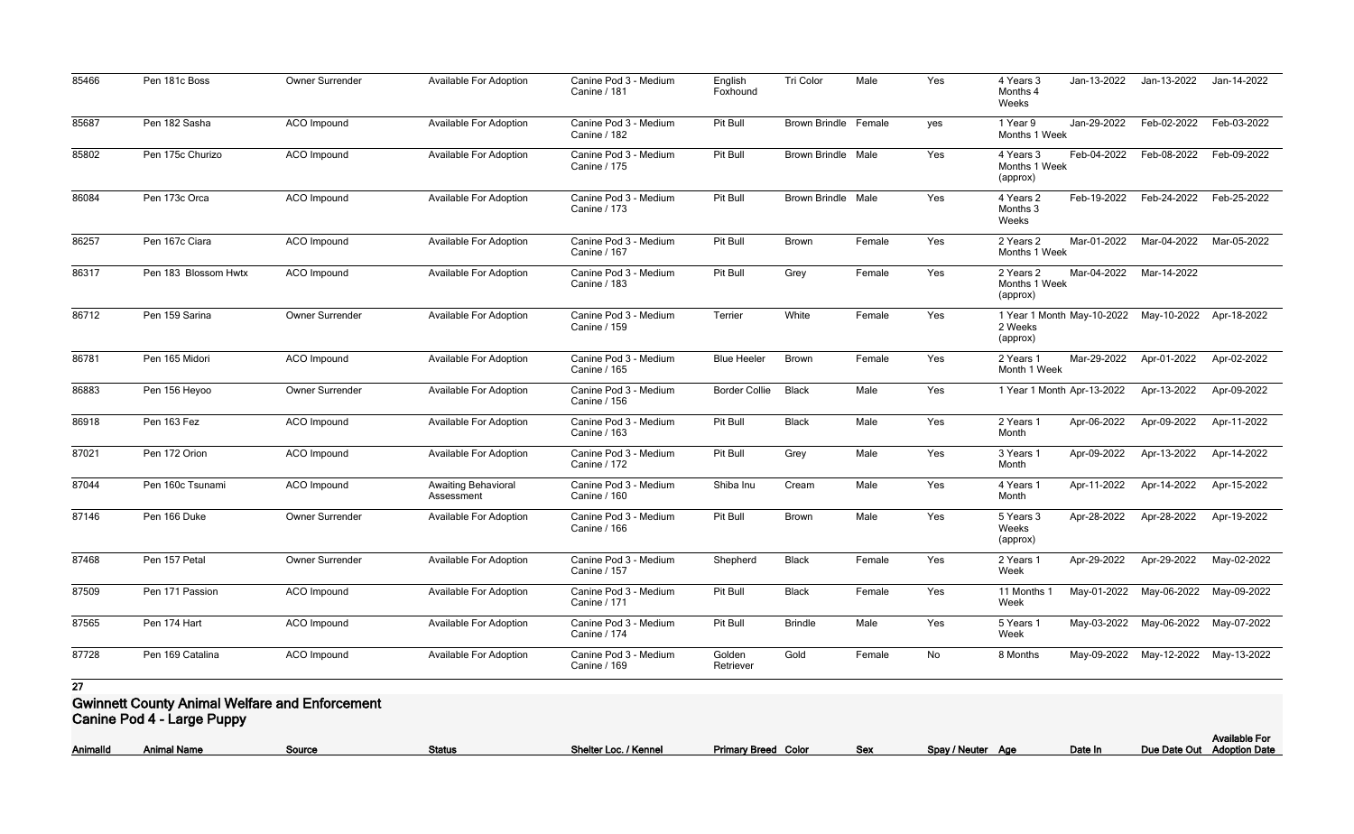| 85466 | Pen 181c Boss                                         | Owner Surrender    | Available For Adoption                   | Canine Pod 3 - Medium<br>Canine / 181        | English<br>Foxhound  | Tri Color                 | Male   | Yes | Jan-13-2022<br>4 Years 3<br>Months 4<br>Weeks         | Jan-13-2022                         | Jan-14-2022 |
|-------|-------------------------------------------------------|--------------------|------------------------------------------|----------------------------------------------|----------------------|---------------------------|--------|-----|-------------------------------------------------------|-------------------------------------|-------------|
| 85687 | Pen 182 Sasha                                         | <b>ACO</b> Impound | <b>Available For Adoption</b>            | Canine Pod 3 - Medium<br>Canine / 182        | Pit Bull             | Brown Brindle Female      |        | yes | Jan-29-2022<br>1 Year 9<br>Months 1 Week              | Feb-02-2022                         | Feb-03-2022 |
| 85802 | Pen 175c Churizo                                      | <b>ACO</b> Impound | <b>Available For Adoption</b>            | Canine Pod 3 - Medium<br><b>Canine / 175</b> | Pit Bull             | <b>Brown Brindle Male</b> |        | Yes | Feb-04-2022<br>4 Years 3<br>Months 1 Week<br>(approx) | Feb-08-2022                         | Feb-09-2022 |
| 86084 | Pen 173c Orca                                         | <b>ACO</b> Impound | <b>Available For Adoption</b>            | Canine Pod 3 - Medium<br><b>Canine / 173</b> | Pit Bull             | <b>Brown Brindle Male</b> |        | Yes | Feb-19-2022<br>4 Years 2<br>Months 3<br>Weeks         | Feb-24-2022                         | Feb-25-2022 |
| 86257 | Pen 167c Ciara                                        | <b>ACO</b> Impound | <b>Available For Adoption</b>            | Canine Pod 3 - Medium<br><b>Canine / 167</b> | Pit Bull             | <b>Brown</b>              | Female | Yes | Mar-01-2022<br>2 Years 2<br>Months 1 Week             | Mar-04-2022                         | Mar-05-2022 |
| 86317 | Pen 183 Blossom Hwtx                                  | <b>ACO</b> Impound | <b>Available For Adoption</b>            | Canine Pod 3 - Medium<br>Canine / 183        | Pit Bull             | Grey                      | Female | Yes | Mar-04-2022<br>2 Years 2<br>Months 1 Week<br>(approx) | Mar-14-2022                         |             |
| 86712 | Pen 159 Sarina                                        | Owner Surrender    | <b>Available For Adoption</b>            | Canine Pod 3 - Medium<br>Canine / 159        | Terrier              | White                     | Female | Yes | 1 Year 1 Month May-10-2022<br>2 Weeks<br>(approx)     | May-10-2022                         | Apr-18-2022 |
| 86781 | Pen 165 Midori                                        | <b>ACO</b> Impound | <b>Available For Adoption</b>            | Canine Pod 3 - Medium<br>Canine / 165        | <b>Blue Heeler</b>   | <b>Brown</b>              | Female | Yes | Mar-29-2022<br>2 Years 1<br>Month 1 Week              | Apr-01-2022                         | Apr-02-2022 |
| 86883 | Pen 156 Heyoo                                         | Owner Surrender    | <b>Available For Adoption</b>            | Canine Pod 3 - Medium<br><b>Canine / 156</b> | <b>Border Collie</b> | <b>Black</b>              | Male   | Yes | 1 Year 1 Month Apr-13-2022                            | Apr-13-2022                         | Apr-09-2022 |
| 86918 | Pen 163 Fez                                           | <b>ACO</b> Impound | <b>Available For Adoption</b>            | Canine Pod 3 - Medium<br>Canine / 163        | Pit Bull             | <b>Black</b>              | Male   | Yes | Apr-06-2022<br>2 Years 1<br>Month                     | Apr-09-2022                         | Apr-11-2022 |
| 87021 | Pen 172 Orion                                         | <b>ACO</b> Impound | <b>Available For Adoption</b>            | Canine Pod 3 - Medium<br>Canine / 172        | Pit Bull             | Grey                      | Male   | Yes | Apr-09-2022<br>3 Years 1<br>Month                     | Apr-13-2022                         | Apr-14-2022 |
| 87044 | Pen 160c Tsunami                                      | <b>ACO</b> Impound | <b>Awaiting Behavioral</b><br>Assessment | Canine Pod 3 - Medium<br><b>Canine / 160</b> | Shiba Inu            | Cream                     | Male   | Yes | Apr-11-2022<br>4 Years 1<br>Month                     | Apr-14-2022                         | Apr-15-2022 |
| 87146 | Pen 166 Duke                                          | Owner Surrender    | Available For Adoption                   | Canine Pod 3 - Medium<br><b>Canine / 166</b> | Pit Bull             | <b>Brown</b>              | Male   | Yes | 5 Years 3<br>Apr-28-2022<br>Weeks<br>(approx)         | Apr-28-2022                         | Apr-19-2022 |
| 87468 | Pen 157 Petal                                         | Owner Surrender    | <b>Available For Adoption</b>            | Canine Pod 3 - Medium<br>Canine / 157        | Shepherd             | <b>Black</b>              | Female | Yes | Apr-29-2022<br>2 Years 1<br>Week                      | Apr-29-2022                         | May-02-2022 |
| 87509 | Pen 171 Passion                                       | <b>ACO</b> Impound | <b>Available For Adoption</b>            | Canine Pod 3 - Medium<br><b>Canine / 171</b> | Pit Bull             | <b>Black</b>              | Female | Yes | 11 Months 1<br>Week                                   | May-01-2022 May-06-2022             | May-09-2022 |
| 87565 | Pen 174 Hart                                          | <b>ACO</b> Impound | <b>Available For Adoption</b>            | Canine Pod 3 - Medium<br><b>Canine / 174</b> | Pit Bull             | <b>Brindle</b>            | Male   | Yes | 5 Years 1<br>Week                                     | May-03-2022 May-06-2022             | May-07-2022 |
| 87728 | Pen 169 Catalina                                      | <b>ACO</b> Impound | <b>Available For Adoption</b>            | Canine Pod 3 - Medium<br><b>Canine / 169</b> | Golden<br>Retriever  | Gold                      | Female | No  | 8 Months                                              | May-09-2022 May-12-2022 May-13-2022 |             |
| 27    |                                                       |                    |                                          |                                              |                      |                           |        |     |                                                       |                                     |             |
|       | <b>Gwinnett County Animal Welfare and Enforcement</b> |                    |                                          |                                              |                      |                           |        |     |                                                       |                                     |             |

**Canine Pod 4 - Large Puppy**

**AnimalId Animal Name Source Status Shelter Loc. / Kennel Primary Breed Color Sex Spay / Neuter Age Date In Due Date Out**

|                   |         | <b>Available For</b>       |
|-------------------|---------|----------------------------|
| Spay / Neuter Age | Date In | Due Date Out Adoption Date |
|                   |         |                            |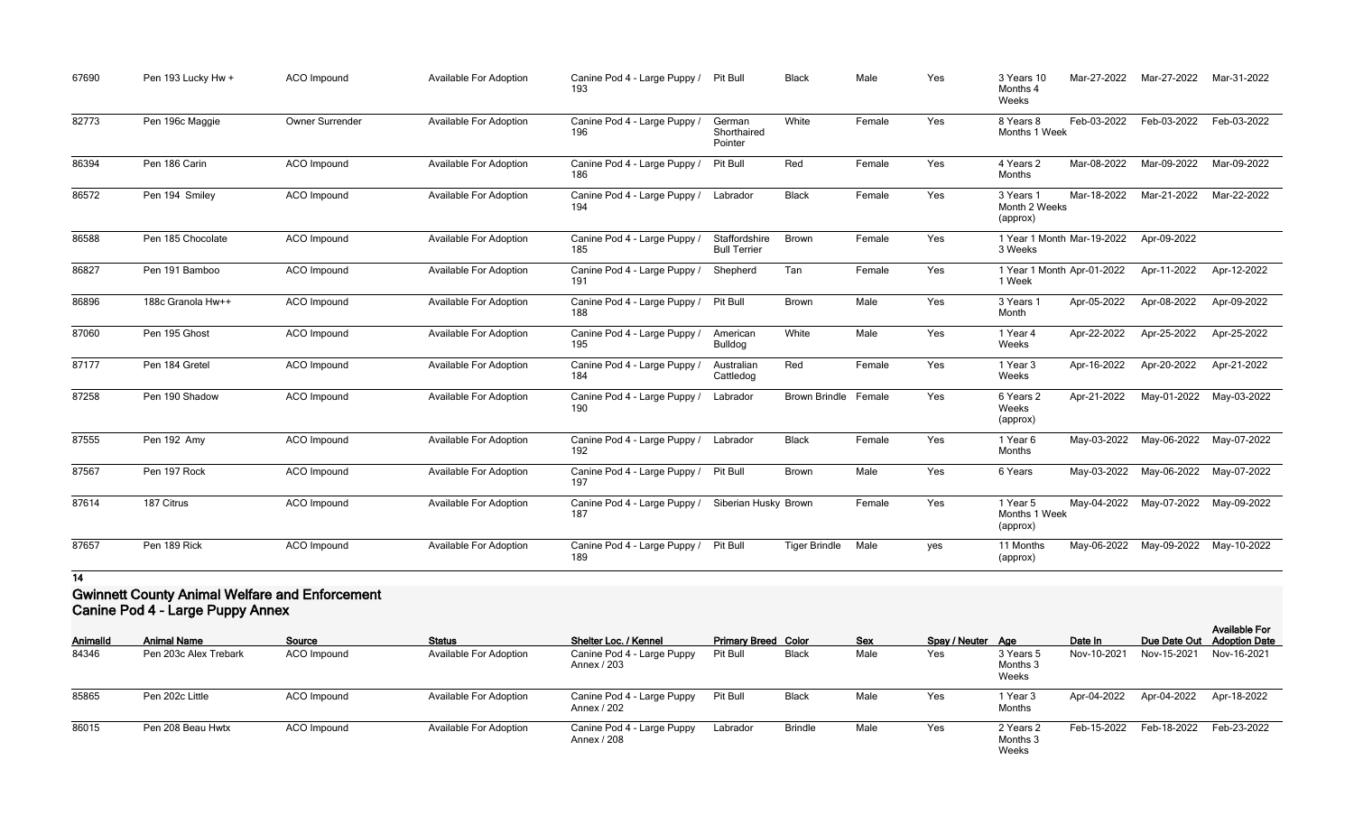| 67690 | Pen 193 Lucky Hw + | <b>ACO</b> Impound | <b>Available For Adoption</b> | Canine Pod 4 - Large Puppy /<br>193 | Pit Bull                             | <b>Black</b>         | Male   | Yes | 3 Years 10<br>Months 4<br>Weeks        | Mar-27-2022 | Mar-27-2022 | Mar-31-2022 |
|-------|--------------------|--------------------|-------------------------------|-------------------------------------|--------------------------------------|----------------------|--------|-----|----------------------------------------|-------------|-------------|-------------|
| 82773 | Pen 196c Maggie    | Owner Surrender    | <b>Available For Adoption</b> | Canine Pod 4 - Large Puppy /<br>196 | German<br>Shorthaired<br>Pointer     | White                | Female | Yes | 8 Years 8<br>Months 1 Week             | Feb-03-2022 | Feb-03-2022 | Feb-03-2022 |
| 86394 | Pen 186 Carin      | ACO Impound        | <b>Available For Adoption</b> | Canine Pod 4 - Large Puppy /<br>186 | Pit Bull                             | Red                  | Female | Yes | 4 Years 2<br>Months                    | Mar-08-2022 | Mar-09-2022 | Mar-09-2022 |
| 86572 | Pen 194 Smiley     | <b>ACO</b> Impound | <b>Available For Adoption</b> | Canine Pod 4 - Large Puppy /<br>194 | Labrador                             | <b>Black</b>         | Female | Yes | 3 Years 1<br>Month 2 Weeks<br>(approx) | Mar-18-2022 | Mar-21-2022 | Mar-22-2022 |
| 86588 | Pen 185 Chocolate  | ACO Impound        | <b>Available For Adoption</b> | Canine Pod 4 - Large Puppy /<br>185 | Staffordshire<br><b>Bull Terrier</b> | Brown                | Female | Yes | 1 Year 1 Month Mar-19-2022<br>3 Weeks  |             | Apr-09-2022 |             |
| 86827 | Pen 191 Bamboo     | ACO Impound        | <b>Available For Adoption</b> | Canine Pod 4 - Large Puppy /<br>191 | Shepherd                             | Tan                  | Female | Yes | 1 Year 1 Month Apr-01-2022<br>1 Week   |             | Apr-11-2022 | Apr-12-2022 |
| 86896 | 188c Granola Hw++  | <b>ACO</b> Impound | <b>Available For Adoption</b> | Canine Pod 4 - Large Puppy /<br>188 | Pit Bull                             | Brown                | Male   | Yes | 3 Years 1<br>Month                     | Apr-05-2022 | Apr-08-2022 | Apr-09-2022 |
| 87060 | Pen 195 Ghost      | ACO Impound        | <b>Available For Adoption</b> | Canine Pod 4 - Large Puppy /<br>195 | American<br><b>Bulldog</b>           | White                | Male   | Yes | 1 Year 4<br>Weeks                      | Apr-22-2022 | Apr-25-2022 | Apr-25-2022 |
| 87177 | Pen 184 Gretel     | ACO Impound        | <b>Available For Adoption</b> | Canine Pod 4 - Large Puppy /<br>184 | Australian<br>Cattledog              | Red                  | Female | Yes | 1 Year 3<br>Weeks                      | Apr-16-2022 | Apr-20-2022 | Apr-21-2022 |
| 87258 | Pen 190 Shadow     | ACO Impound        | <b>Available For Adoption</b> | Canine Pod 4 - Large Puppy /<br>190 | Labrador                             | <b>Brown Brindle</b> | Female | Yes | 6 Years 2<br>Weeks<br>(approx)         | Apr-21-2022 | May-01-2022 | May-03-2022 |
| 87555 | Pen 192 Amy        | ACO Impound        | <b>Available For Adoption</b> | Canine Pod 4 - Large Puppy /<br>192 | Labrador                             | <b>Black</b>         | Female | Yes | 1 Year 6<br>Months                     | May-03-2022 | May-06-2022 | May-07-2022 |
| 87567 | Pen 197 Rock       | ACO Impound        | <b>Available For Adoption</b> | Canine Pod 4 - Large Puppy /<br>197 | Pit Bull                             | Brown                | Male   | Yes | 6 Years                                | May-03-2022 | May-06-2022 | May-07-2022 |
| 87614 | 187 Citrus         | <b>ACO</b> Impound | <b>Available For Adoption</b> | Canine Pod 4 - Large Puppy /<br>187 | Siberian Husky Brown                 |                      | Female | Yes | 1 Year 5<br>Months 1 Week<br>(approx)  | May-04-2022 | May-07-2022 | May-09-2022 |
| 87657 | Pen 189 Rick       | ACO Impound        | <b>Available For Adoption</b> | Canine Pod 4 - Large Puppy /<br>189 | Pit Bull                             | <b>Tiger Brindle</b> | Male   | yes | 11 Months<br>(approx)                  | May-06-2022 | May-09-2022 | May-10-2022 |

## **Gwinnett County Animal Welfare and Enforcement Canine Pod 4 - Large Puppy Annex**

| <b>AnimalId</b> | <b>Animal Name</b>    | Source             | <b>Status</b>                 | <b>Shelter Loc. / Kennel</b>              | <b>Primary Breed Color</b> |                | <b>Sex</b> | Spay / Neuter Age |                                | Date In     | Due Date Out | <b>Available For</b><br><b>Adoption Date</b> |
|-----------------|-----------------------|--------------------|-------------------------------|-------------------------------------------|----------------------------|----------------|------------|-------------------|--------------------------------|-------------|--------------|----------------------------------------------|
| 84346           | Pen 203c Alex Trebark | ACO Impound        | <b>Available For Adoption</b> | Canine Pod 4 - Large Puppy<br>Annex / 203 | Pit Bull                   | <b>Black</b>   | Male       | Yes               | 3 Years 5<br>Months 3<br>Weeks | Nov-10-2021 | Nov-15-2021  | Nov-16-2021                                  |
| 85865           | Pen 202c Little       | <b>ACO</b> Impound | <b>Available For Adoption</b> | Canine Pod 4 - Large Puppy<br>Annex / 202 | Pit Bull                   | <b>Black</b>   | Male       | Yes               | 1 Year 3<br>Months             | Apr-04-2022 | Apr-04-2022  | Apr-18-2022                                  |
| 86015           | Pen 208 Beau Hwtx     | ACO Impound        | <b>Available For Adoption</b> | Canine Pod 4 - Large Puppy<br>Annex / 208 | Labrador                   | <b>Brindle</b> | Male       | Yes               | 2 Years 2<br>Months 3<br>Weeks | Feb-15-2022 | Feb-18-2022  | Feb-23-2022                                  |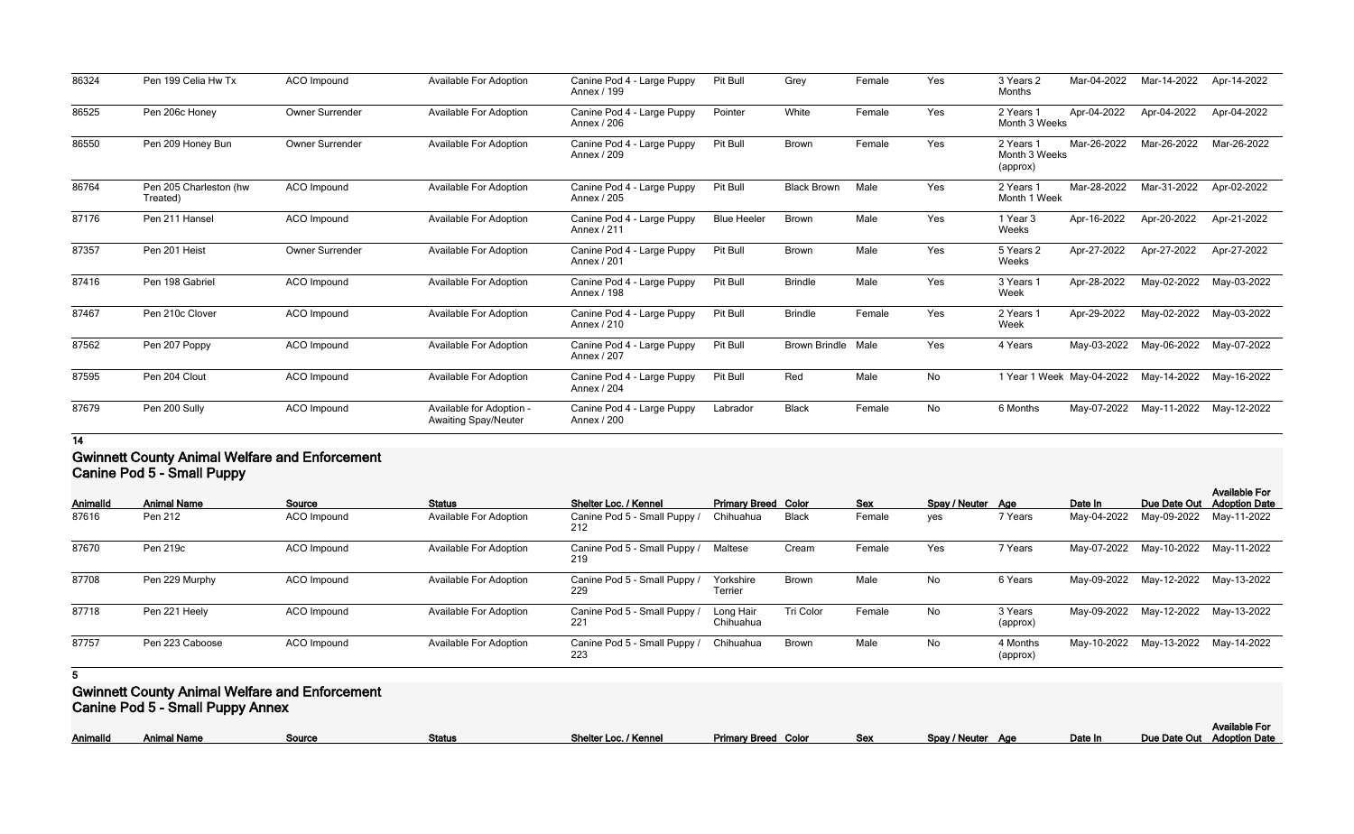| 86324 | Pen 199 Celia Hw Tx                | ACO Impound            | <b>Available For Adoption</b>                           | Canine Pod 4 - Large Puppy<br>Annex / 199 | Pit Bull           | Grey                      | Female | Yes | 3 Years 2<br>Months                    | Mar-04-2022 | Mar-14-2022 | Apr-14-2022 |
|-------|------------------------------------|------------------------|---------------------------------------------------------|-------------------------------------------|--------------------|---------------------------|--------|-----|----------------------------------------|-------------|-------------|-------------|
| 86525 | Pen 206c Honey                     | Owner Surrender        | <b>Available For Adoption</b>                           | Canine Pod 4 - Large Puppy<br>Annex / 206 | Pointer            | White                     | Female | Yes | 2 Years 1<br>Month 3 Weeks             | Apr-04-2022 | Apr-04-2022 | Apr-04-2022 |
| 86550 | Pen 209 Honey Bun                  | Owner Surrender        | <b>Available For Adoption</b>                           | Canine Pod 4 - Large Puppy<br>Annex / 209 | Pit Bull           | Brown                     | Female | Yes | 2 Years 1<br>Month 3 Weeks<br>(approx) | Mar-26-2022 | Mar-26-2022 | Mar-26-2022 |
| 86764 | Pen 205 Charleston (hw<br>Treated) | <b>ACO</b> Impound     | <b>Available For Adoption</b>                           | Canine Pod 4 - Large Puppy<br>Annex / 205 | Pit Bull           | <b>Black Brown</b>        | Male   | Yes | 2 Years 1<br>Month 1 Week              | Mar-28-2022 | Mar-31-2022 | Apr-02-2022 |
| 87176 | Pen 211 Hansel                     | ACO Impound            | <b>Available For Adoption</b>                           | Canine Pod 4 - Large Puppy<br>Annex / 211 | <b>Blue Heeler</b> | <b>Brown</b>              | Male   | Yes | 1 Year 3<br>Weeks                      | Apr-16-2022 | Apr-20-2022 | Apr-21-2022 |
| 87357 | Pen 201 Heist                      | <b>Owner Surrender</b> | <b>Available For Adoption</b>                           | Canine Pod 4 - Large Puppy<br>Annex / 201 | Pit Bull           | <b>Brown</b>              | Male   | Yes | 5 Years 2<br>Weeks                     | Apr-27-2022 | Apr-27-2022 | Apr-27-2022 |
| 87416 | Pen 198 Gabriel                    | ACO Impound            | <b>Available For Adoption</b>                           | Canine Pod 4 - Large Puppy<br>Annex / 198 | Pit Bull           | <b>Brindle</b>            | Male   | Yes | 3 Years 1<br>Week                      | Apr-28-2022 | May-02-2022 | May-03-2022 |
| 87467 | Pen 210c Clover                    | <b>ACO</b> Impound     | <b>Available For Adoption</b>                           | Canine Pod 4 - Large Puppy<br>Annex / 210 | Pit Bull           | <b>Brindle</b>            | Female | Yes | 2 Years 1<br>Week                      | Apr-29-2022 | May-02-2022 | May-03-2022 |
| 87562 | Pen 207 Poppy                      | ACO Impound            | <b>Available For Adoption</b>                           | Canine Pod 4 - Large Puppy<br>Annex / 207 | Pit Bull           | <b>Brown Brindle Male</b> |        | Yes | 4 Years                                | May-03-2022 | May-06-2022 | May-07-2022 |
| 87595 | Pen 204 Clout                      | <b>ACO</b> Impound     | <b>Available For Adoption</b>                           | Canine Pod 4 - Large Puppy<br>Annex / 204 | Pit Bull           | Red                       | Male   | No  | 1 Year 1 Week May-04-2022              |             | May-14-2022 | May-16-2022 |
| 87679 | Pen 200 Sully                      | ACO Impound            | Available for Adoption -<br><b>Awaiting Spay/Neuter</b> | Canine Pod 4 - Large Puppy<br>Annex / 200 | Labrador           | <b>Black</b>              | Female | No  | 6 Months                               | May-07-2022 | May-11-2022 | May-12-2022 |

## **Gwinnett County Animal Welfare and Enforcement Canine Pod 5 - Small Puppy**

| <b>AnimalId</b><br>87616 | <b>Animal Name</b><br>Pen 212 | Source<br><b>ACO</b> Impound | <b>Status</b><br><b>Available For Adoption</b> | Shelter Loc. / Kennel<br>Canine Pod 5 - Small Puppy /<br>212 | <b>Primary Breed Color</b><br>Chihuahua | <b>Black</b> | <b>Sex</b><br>Female | Spay / Neuter Age<br>yes | 7 Years              | Date In<br>May-04-2022 | Due Date Out<br>May-09-2022         | <b>Available For</b><br><b>Adoption Date</b><br>May-11-2022 |
|--------------------------|-------------------------------|------------------------------|------------------------------------------------|--------------------------------------------------------------|-----------------------------------------|--------------|----------------------|--------------------------|----------------------|------------------------|-------------------------------------|-------------------------------------------------------------|
| 87670                    | Pen 219c                      | ACO Impound                  | <b>Available For Adoption</b>                  | Canine Pod 5 - Small Puppy /<br>219                          | Maltese                                 | Cream        | Female               | Yes                      | 7 Years              |                        | May-07-2022 May-10-2022             | May-11-2022                                                 |
| 87708                    | Pen 229 Murphy                | ACO Impound                  | <b>Available For Adoption</b>                  | Canine Pod 5 - Small Puppy /<br>229                          | Yorkshire<br>Terrier                    | <b>Brown</b> | Male                 | No                       | 6 Years              |                        | May-09-2022 May-12-2022             | May-13-2022                                                 |
| 87718                    | Pen 221 Heely                 | <b>ACO</b> Impound           | <b>Available For Adoption</b>                  | Canine Pod 5 - Small Puppy /<br>221                          | Long Hair<br>Chihuahua                  | Tri Color    | Female               | No                       | 3 Years<br>(approx)  |                        | May-09-2022 May-12-2022 May-13-2022 |                                                             |
| 87757                    | Pen 223 Caboose               | ACO Impound                  | <b>Available For Adoption</b>                  | Canine Pod 5 - Small Puppy /<br>223                          | Chihuahua                               | Brown        | Male                 | No                       | 4 Months<br>(approx) |                        | May-10-2022 May-13-2022             | May-14-2022                                                 |

**5**

## **Gwinnett County Animal Welfare and Enforcement**

**Canine Pod 5 - Small Puppy Annex**

|--|

|                   |         | <b>Available For</b>       |
|-------------------|---------|----------------------------|
| Spay / Neuter Age | Date In | Due Date Out Adoption Date |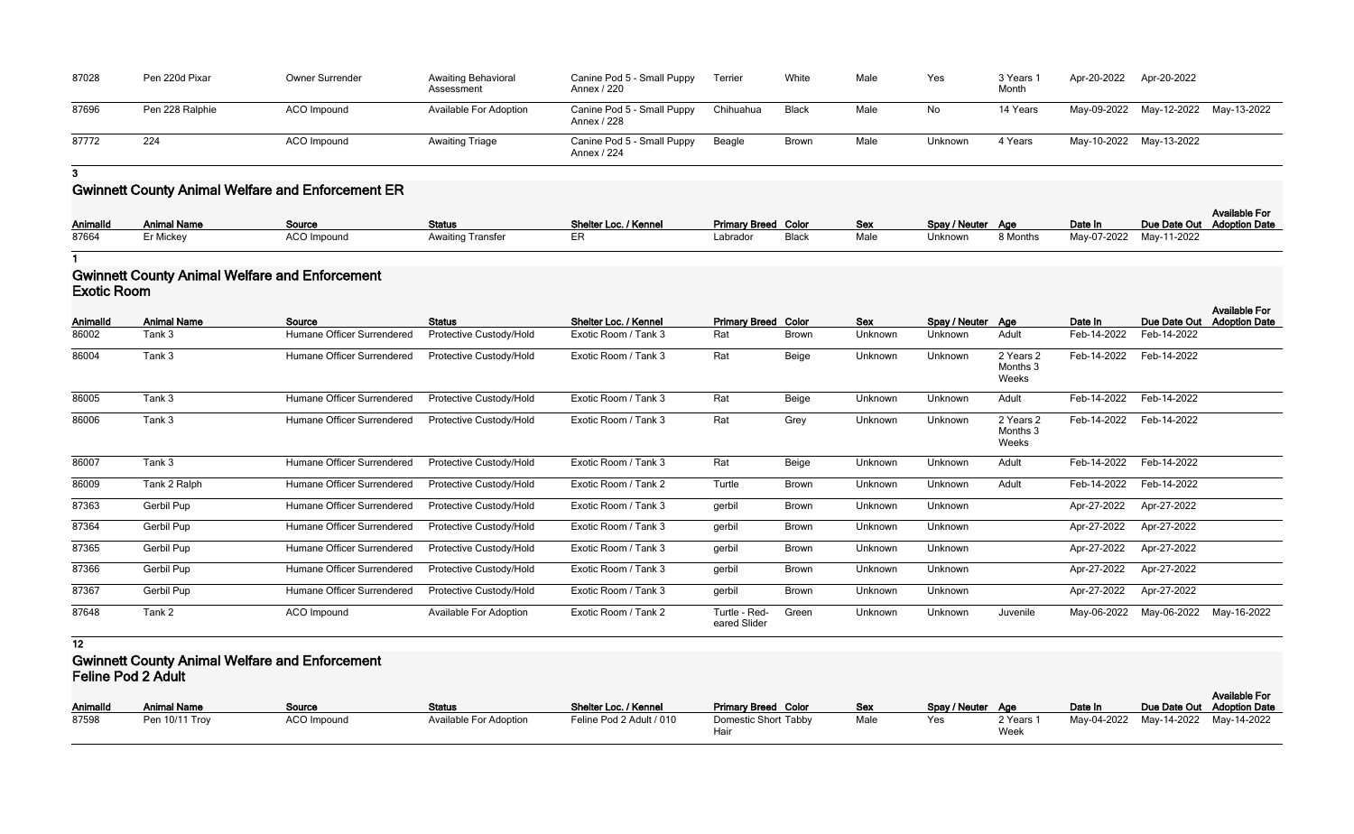| 87028 | Pen 220d Pixar  | Owner Surrender | <b>Awaiting Behavioral</b><br>Assessment | Canine Pod 5 - Small Puppy<br>Annex / 220 | Terrier   | White | Male | Yes            | 3 Years<br>Month | Apr-20-2022             | Apr-20-2022                         |  |
|-------|-----------------|-----------------|------------------------------------------|-------------------------------------------|-----------|-------|------|----------------|------------------|-------------------------|-------------------------------------|--|
| 87696 | Pen 228 Ralphie | ACO Impound     | Available For Adoption                   | Canine Pod 5 - Small Puppy<br>Annex / 228 | Chihuahua | Black | Male | No.            | 14 Years         |                         | May-09-2022 May-12-2022 May-13-2022 |  |
| 87772 | 224             | ACO Impound     | <b>Awaiting Triage</b>                   | Canine Pod 5 - Small Puppy<br>Annex / 224 | Beagle    | Brown | Male | <b>Unknown</b> | 4 Years          | May-10-2022 May-13-2022 |                                     |  |

# **Gwinnett County Animal Welfare and Enforcement ER**

| Animalld | <b>Animal Name</b> | Source             | <b>Status</b>            | Shelter Loc. / Kennel | <b>Primary Breed Color</b> |       | Sex  | Spay / Neuter Age |          | Date In                 | Due Date Out Adoption Date | <b>Available For</b> |
|----------|--------------------|--------------------|--------------------------|-----------------------|----------------------------|-------|------|-------------------|----------|-------------------------|----------------------------|----------------------|
| 87664    | Er Mickey          | <b>ACO Impound</b> | <b>Awaiting Transfer</b> |                       | ∟abrador                   | Black | Male | Unknown           | 8 Months | May-07-2022 May-11-2022 |                            |                      |

**1**

#### **Gwinnett County Animal Welfare and Enforcement Exotic Room**

| <b>AnimalId</b> | <b>Animal Name</b> | Source                     | <b>Status</b>           | Shelter Loc. / Kennel | <b>Primary Breed Color</b>    |              | <b>Sex</b> | Spay / Neuter Age |                                | Date In     | Due Date Out | <b>Available For</b><br><b>Adoption Date</b> |
|-----------------|--------------------|----------------------------|-------------------------|-----------------------|-------------------------------|--------------|------------|-------------------|--------------------------------|-------------|--------------|----------------------------------------------|
| 86002           | Tank 3             | Humane Officer Surrendered | Protective Custody/Hold | Exotic Room / Tank 3  | Rat                           | <b>Brown</b> | Unknown    | Unknown           | Adult                          | Feb-14-2022 | Feb-14-2022  |                                              |
| 86004           | Tank 3             | Humane Officer Surrendered | Protective Custody/Hold | Exotic Room / Tank 3  | Rat                           | Beige        | Unknown    | Unknown           | 2 Years 2<br>Months 3<br>Weeks | Feb-14-2022 | Feb-14-2022  |                                              |
| 86005           | Tank 3             | Humane Officer Surrendered | Protective Custody/Hold | Exotic Room / Tank 3  | Rat                           | Beige        | Unknown    | Unknown           | Adult                          | Feb-14-2022 | Feb-14-2022  |                                              |
| 86006           | Tank 3             | Humane Officer Surrendered | Protective Custody/Hold | Exotic Room / Tank 3  | Rat                           | Grey         | Unknown    | Unknown           | 2 Years 2<br>Months 3<br>Weeks | Feb-14-2022 | Feb-14-2022  |                                              |
| 86007           | Tank 3             | Humane Officer Surrendered | Protective Custody/Hold | Exotic Room / Tank 3  | Rat                           | Beige        | Unknown    | Unknown           | Adult                          | Feb-14-2022 | Feb-14-2022  |                                              |
| 86009           | Tank 2 Ralph       | Humane Officer Surrendered | Protective Custody/Hold | Exotic Room / Tank 2  | Turtle                        | <b>Brown</b> | Unknown    | Unknown           | Adult                          | Feb-14-2022 | Feb-14-2022  |                                              |
| 87363           | Gerbil Pup         | Humane Officer Surrendered | Protective Custody/Hold | Exotic Room / Tank 3  | gerbil                        | <b>Brown</b> | Unknown    | Unknown           |                                | Apr-27-2022 | Apr-27-2022  |                                              |
| 87364           | Gerbil Pup         | Humane Officer Surrendered | Protective Custody/Hold | Exotic Room / Tank 3  | gerbil                        | <b>Brown</b> | Unknown    | Unknown           |                                | Apr-27-2022 | Apr-27-2022  |                                              |
| 87365           | Gerbil Pup         | Humane Officer Surrendered | Protective Custody/Hold | Exotic Room / Tank 3  | gerbil                        | <b>Brown</b> | Unknown    | Unknown           |                                | Apr-27-2022 | Apr-27-2022  |                                              |
| 87366           | Gerbil Pup         | Humane Officer Surrendered | Protective Custody/Hold | Exotic Room / Tank 3  | gerbil                        | <b>Brown</b> | Unknown    | Unknown           |                                | Apr-27-2022 | Apr-27-2022  |                                              |
| 87367           | Gerbil Pup         | Humane Officer Surrendered | Protective Custody/Hold | Exotic Room / Tank 3  | gerbil                        | <b>Brown</b> | Unknown    | Unknown           |                                | Apr-27-2022 | Apr-27-2022  |                                              |
| 87648           | Tank 2             | ACO Impound                | Available For Adoption  | Exotic Room / Tank 2  | Turtle - Red-<br>eared Slider | Green        | Unknown    | Unknown           | Juvenile                       | May-06-2022 | May-06-2022  | May-16-2022                                  |

**12**

## **Gwinnett County Animal Welfare and Enforcement Feline Pod 2 Adult**

| <b>AnimalId</b> | <b>Animal Name</b> | Source             | <b>Status</b>                 | Shelter Loc. / Kennel    | <b>Primary Breed Color</b> | <u>Sex</u> | Spay / Neuter Age |                   | Date In | Due Date Out Adoption Date          | <b>Available For</b> |
|-----------------|--------------------|--------------------|-------------------------------|--------------------------|----------------------------|------------|-------------------|-------------------|---------|-------------------------------------|----------------------|
| 87598           | Pen 10/11 Troy     | <b>ACO Impound</b> | <b>Available For Adoption</b> | Feline Pod 2 Adult / 010 | Domestic Short Tabby       | Male       | Yes               | 2 Years 1<br>Week |         | May-04-2022 May-14-2022 May-14-2022 |                      |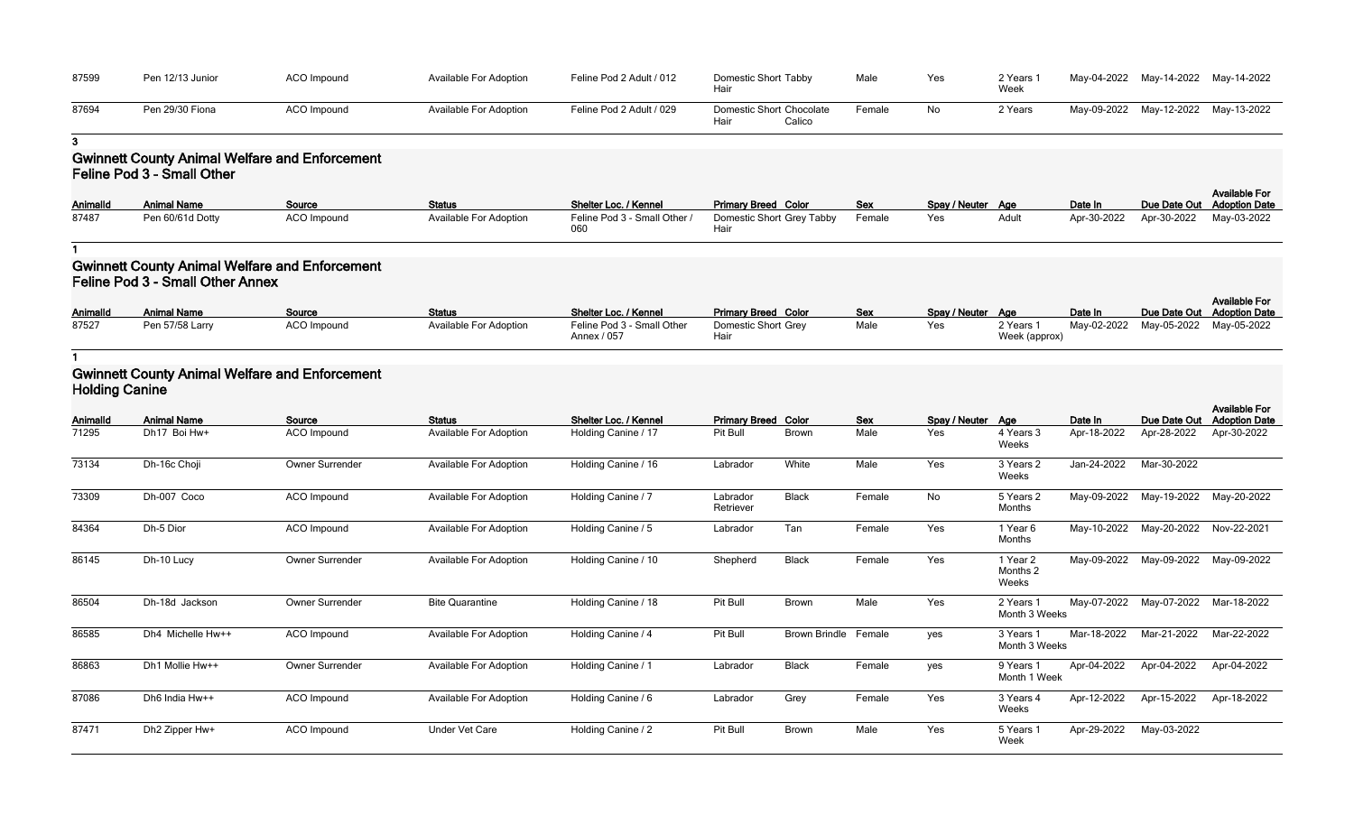| 87599 | Pen 12/13 Junior | ACO Impound | <b>Available For Adoption</b> | Feline Pod 2 Adult / 012 | Domestic Short Tabby<br>Hair               | Male   |
|-------|------------------|-------------|-------------------------------|--------------------------|--------------------------------------------|--------|
| 87694 | Pen 29/30 Fiona  | ACO Impound | Available For Adoption        | Feline Pod 2 Adult / 029 | Domestic Short Chocolate<br>Calico<br>Hair | Female |

## **Gwinnett County Animal Welfare and Enforcement Feline Pod 3 - Small Other**

| Tabby               | Male       | Yes           | 2 Years 1<br>Week | May-04-2022 | May-14-2022  | May-14-2022                                  |
|---------------------|------------|---------------|-------------------|-------------|--------------|----------------------------------------------|
| Chocolate<br>Calico | Female     | No.           | 2 Years           | May-09-2022 | May-12-2022  | May-13-2022                                  |
|                     |            |               |                   |             |              |                                              |
| Color               | <b>Sex</b> | Spay / Neuter | Age               | Date In     | Due Date Out | <b>Available For</b><br><b>Adoption Date</b> |
| Grey Tabby          | Female     | Yes           | Adult             | Apr-30-2022 | Apr-30-2022  | May-03-2022                                  |

| Animalld | <b>Animal Name</b> | Source             | <b>Status</b>                 | Shelter Loc. / Kennel        | <b>Primary Breed Color</b> | <b>Sex</b> | Spay / Neuter Age |       | Date In     | Due Date Out |
|----------|--------------------|--------------------|-------------------------------|------------------------------|----------------------------|------------|-------------------|-------|-------------|--------------|
| 87487    | Pen 60/61d Dotty   | <b>ACO</b> Impound | <b>Available For Adoption</b> | Feline Pod 3 - Small Other / | Domestic Short Grey Tabby  | Female     | Yes               | Adult | Apr-30-2022 | Apr-30-2022  |
|          |                    |                    |                               |                              |                            |            |                   |       |             |              |

**1**

## **Gwinnett County Animal Welfare and Enforcement Feline Pod 3 - Small Other Annex**

| <b>AnimalId</b> | <b>Animal Name</b> | Source             | <b>Status</b>                 | Shelter Loc. / Kennel                     | <b>Primary Breed Color</b>  | <b>Sex</b> | Spay / Neuter Age |                            | Date In |                                     | <b>Available For</b><br>Due Date Out Adoption Date |
|-----------------|--------------------|--------------------|-------------------------------|-------------------------------------------|-----------------------------|------------|-------------------|----------------------------|---------|-------------------------------------|----------------------------------------------------|
| 87527           | Pen 57/58 Larry    | <b>ACO Impound</b> | <b>Available For Adoption</b> | Feline Pod 3 - Small Other<br>Annex / 057 | Domestic Short Grey<br>Hair | Male       | Yes               | 2 Years 1<br>Week (approx) |         | May-02-2022 May-05-2022 May-05-2022 |                                                    |

**1**

### **Gwinnett County Animal Welfare and Enforcement Holding Canine**

| <b>AnimalId</b> | <b>Animal Name</b> | Source                 | <b>Status</b>                 | <b>Shelter Loc. / Kennel</b> | <b>Primary Breed Color</b> |                      | <b>Sex</b> | Spay / Neuter | Age                           | Date In     | Due Date Out            | <b>Available For</b><br><b>Adoption Date</b> |
|-----------------|--------------------|------------------------|-------------------------------|------------------------------|----------------------------|----------------------|------------|---------------|-------------------------------|-------------|-------------------------|----------------------------------------------|
| 71295           | Dh17 Boi Hw+       | ACO Impound            | <b>Available For Adoption</b> | Holding Canine / 17          | Pit Bull                   | <b>Brown</b>         | Male       | Yes           | 4 Years 3<br>Weeks            | Apr-18-2022 | Apr-28-2022             | Apr-30-2022                                  |
| 73134           | Dh-16c Choji       | <b>Owner Surrender</b> | <b>Available For Adoption</b> | Holding Canine / 16          | Labrador                   | White                | Male       | Yes           | 3 Years 2<br>Weeks            | Jan-24-2022 | Mar-30-2022             |                                              |
| 73309           | Dh-007 Coco        | ACO Impound            | <b>Available For Adoption</b> | Holding Canine / 7           | Labrador<br>Retriever      | <b>Black</b>         | Female     | No            | 5 Years 2<br>Months           | May-09-2022 | May-19-2022             | May-20-2022                                  |
| 84364           | Dh-5 Dior          | ACO Impound            | Available For Adoption        | Holding Canine / 5           | Labrador                   | Tan                  | Female     | Yes           | 1 Year 6<br>Months            |             | May-10-2022 May-20-2022 | Nov-22-2021                                  |
| 86145           | Dh-10 Lucy         | Owner Surrender        | <b>Available For Adoption</b> | Holding Canine / 10          | Shepherd                   | <b>Black</b>         | Female     | Yes           | 1 Year 2<br>Months 2<br>Weeks | May-09-2022 | May-09-2022             | May-09-2022                                  |
| 86504           | Dh-18d Jackson     | Owner Surrender        | <b>Bite Quarantine</b>        | Holding Canine / 18          | Pit Bull                   | <b>Brown</b>         | Male       | Yes           | 2 Years 1<br>Month 3 Weeks    | May-07-2022 | May-07-2022             | Mar-18-2022                                  |
| 86585           | Dh4 Michelle Hw++  | ACO Impound            | <b>Available For Adoption</b> | Holding Canine / 4           | Pit Bull                   | Brown Brindle Female |            | yes           | 3 Years 1<br>Month 3 Weeks    | Mar-18-2022 | Mar-21-2022             | Mar-22-2022                                  |
| 86863           | Dh1 Mollie Hw++    | Owner Surrender        | <b>Available For Adoption</b> | Holding Canine / 1           | Labrador                   | <b>Black</b>         | Female     | yes           | 9 Years 1<br>Month 1 Week     | Apr-04-2022 | Apr-04-2022             | Apr-04-2022                                  |
| 87086           | Dh6 India Hw++     | ACO Impound            | <b>Available For Adoption</b> | Holding Canine / 6           | Labrador                   | Grey                 | Female     | Yes           | 3 Years 4<br>Weeks            | Apr-12-2022 | Apr-15-2022             | Apr-18-2022                                  |
| 87471           | Dh2 Zipper Hw+     | ACO Impound            | <b>Under Vet Care</b>         | Holding Canine / 2           | Pit Bull                   | <b>Brown</b>         | Male       | Yes           | 5 Years 1<br>Week             | Apr-29-2022 | May-03-2022             |                                              |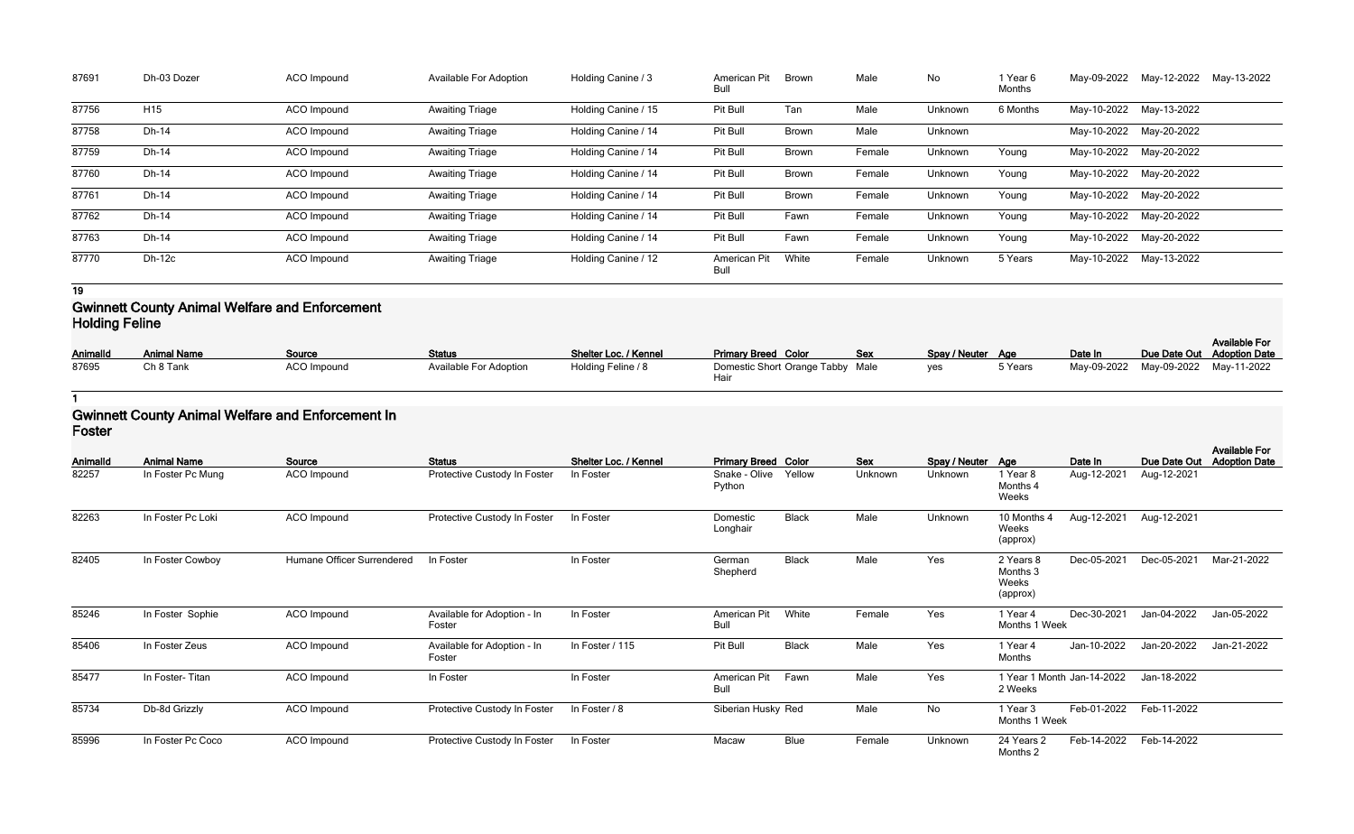| 87691 | Dh-03 Dozer     | ACO Impound        | <b>Available For Adoption</b> | Holding Canine / 3  | <b>American Pit</b><br>Bull | <b>Brown</b> | Male   | No      | 1 Year 6<br>Months | May-09-2022 | May-12-2022             | May-13-2022 |
|-------|-----------------|--------------------|-------------------------------|---------------------|-----------------------------|--------------|--------|---------|--------------------|-------------|-------------------------|-------------|
| 87756 | H <sub>15</sub> | <b>ACO</b> Impound | <b>Awaiting Triage</b>        | Holding Canine / 15 | Pit Bull                    | Tan          | Male   | Unknown | 6 Months           |             | May-10-2022 May-13-2022 |             |
| 87758 | Dh-14           | ACO Impound        | <b>Awaiting Triage</b>        | Holding Canine / 14 | Pit Bull                    | <b>Brown</b> | Male   | Unknown |                    |             | May-10-2022 May-20-2022 |             |
| 87759 | Dh-14           | ACO Impound        | <b>Awaiting Triage</b>        | Holding Canine / 14 | Pit Bull                    | <b>Brown</b> | Female | Unknown | Young              |             | May-10-2022 May-20-2022 |             |
| 87760 | Dh-14           | ACO Impound        | <b>Awaiting Triage</b>        | Holding Canine / 14 | Pit Bull                    | Brown        | Female | Unknown | Young              |             | May-10-2022 May-20-2022 |             |
| 87761 | Dh-14           | ACO Impound        | <b>Awaiting Triage</b>        | Holding Canine / 14 | Pit Bull                    | <b>Brown</b> | Female | Unknown | Young              |             | May-10-2022 May-20-2022 |             |
| 87762 | Dh-14           | <b>ACO</b> Impound | <b>Awaiting Triage</b>        | Holding Canine / 14 | Pit Bull                    | Fawn         | Female | Unknown | Young              |             | May-10-2022 May-20-2022 |             |
| 87763 | Dh-14           | ACO Impound        | <b>Awaiting Triage</b>        | Holding Canine / 14 | Pit Bull                    | Fawn         | Female | Unknown | Young              |             | May-10-2022 May-20-2022 |             |
| 87770 | <b>Dh-12c</b>   | <b>ACO</b> Impound | <b>Awaiting Triage</b>        | Holding Canine / 12 | <b>American Pit</b><br>Bull | White        | Female | Unknown | 5 Years            |             | May-10-2022 May-13-2022 |             |

#### **Gwinnett County Animal Welfare and Enforcement Holding Feline**

| Animalld | <b>Animal Name</b> | Source             | <b>Status</b>                 | Shelter Loc. / Kennel | <b>Primary Breed Color</b>               | <b>Sex</b> | Spay / Neuter Age |         | Date In                             | <b>Available For</b><br>Due Date Out Adoption Date |
|----------|--------------------|--------------------|-------------------------------|-----------------------|------------------------------------------|------------|-------------------|---------|-------------------------------------|----------------------------------------------------|
| 87695    | Ch 8 Tank          | <b>ACO Impound</b> | <b>Available For Adoption</b> | Holding Feline / 8    | Domestic Short Orange Tabby Male<br>Haiı |            | yes               | 5 Years | May-09-2022 May-09-2022 May-11-2022 |                                                    |

## **1**

### **Gwinnett County Animal Welfare and Enforcement In Foster**

| <b>AnimalId</b> | <b>Animal Name</b> | Source                     | <b>Status</b>                         | Shelter Loc. / Kennel | <b>Primary Breed Color</b>  |              | Sex     | Spay / Neuter Age |                                            | Date In                    | Due Date Out | <b>Available For</b><br><b>Adoption Date</b> |
|-----------------|--------------------|----------------------------|---------------------------------------|-----------------------|-----------------------------|--------------|---------|-------------------|--------------------------------------------|----------------------------|--------------|----------------------------------------------|
| 82257           | In Foster Pc Mung  | ACO Impound                | Protective Custody In Foster          | In Foster             | Snake - Olive<br>Python     | Yellow       | Unknown | Unknown           | 1 Year 8<br>Months 4<br>Weeks              | Aug-12-2021                | Aug-12-2021  |                                              |
| 82263           | In Foster Pc Loki  | ACO Impound                | Protective Custody In Foster          | In Foster             | Domestic<br>Longhair        | <b>Black</b> | Male    | Unknown           | 10 Months 4<br>Weeks<br>(approx)           | Aug-12-2021                | Aug-12-2021  |                                              |
| 82405           | In Foster Cowboy   | Humane Officer Surrendered | In Foster                             | In Foster             | German<br>Shepherd          | <b>Black</b> | Male    | Yes               | 2 Years 8<br>Months 3<br>Weeks<br>(approx) | Dec-05-2021                | Dec-05-2021  | Mar-21-2022                                  |
| 85246           | In Foster Sophie   | ACO Impound                | Available for Adoption - In<br>Foster | In Foster             | American Pit<br><b>Bull</b> | White        | Female  | Yes               | 1 Year 4<br>Months 1 Week                  | Dec-30-2021                | Jan-04-2022  | Jan-05-2022                                  |
| 85406           | In Foster Zeus     | ACO Impound                | Available for Adoption - In<br>Foster | In Foster / 115       | Pit Bull                    | <b>Black</b> | Male    | Yes               | 1 Year 4<br>Months                         | Jan-10-2022                | Jan-20-2022  | Jan-21-2022                                  |
| 85477           | In Foster-Titan    | ACO Impound                | In Foster                             | In Foster             | American Pit<br><b>Bull</b> | Fawn         | Male    | Yes               | 2 Weeks                                    | 1 Year 1 Month Jan-14-2022 | Jan-18-2022  |                                              |
| 85734           | Db-8d Grizzly      | ACO Impound                | Protective Custody In Foster          | In Foster / 8         | Siberian Husky Red          |              | Male    | No                | 1 Year 3<br>Months 1 Week                  | Feb-01-2022                | Feb-11-2022  |                                              |
| 85996           | In Foster Pc Coco  | ACO Impound                | Protective Custody In Foster          | In Foster             | Macaw                       | <b>Blue</b>  | Female  | Unknown           | 24 Years 2<br>Months 2                     | Feb-14-2022                | Feb-14-2022  |                                              |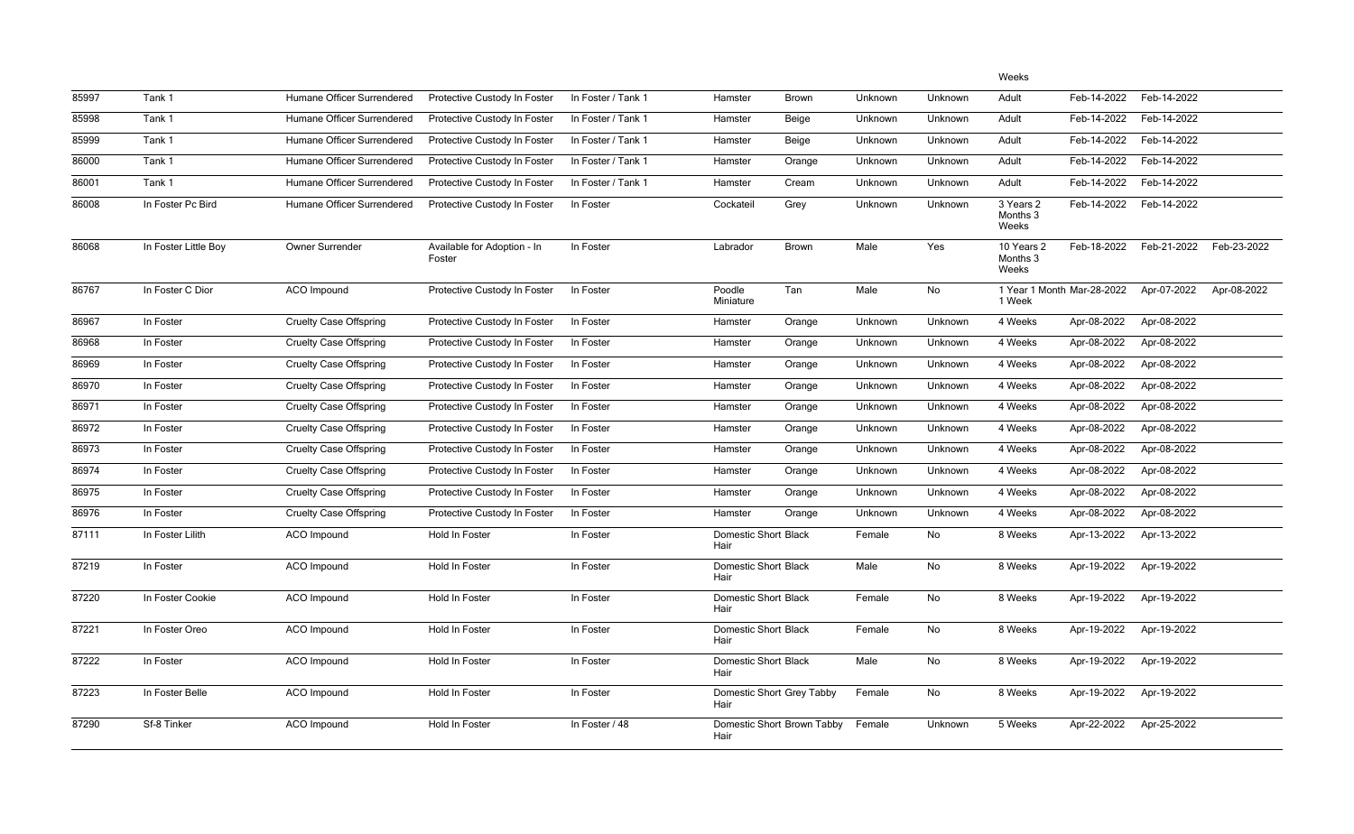|       |                      |                               |                                       |                    |                                     |                            |         |         | Weeks                           |                            |             |             |
|-------|----------------------|-------------------------------|---------------------------------------|--------------------|-------------------------------------|----------------------------|---------|---------|---------------------------------|----------------------------|-------------|-------------|
| 85997 | Tank 1               | Humane Officer Surrendered    | Protective Custody In Foster          | In Foster / Tank 1 | Hamster                             | <b>Brown</b>               | Unknown | Unknown | Adult                           | Feb-14-2022                | Feb-14-2022 |             |
| 85998 | Tank 1               | Humane Officer Surrendered    | Protective Custody In Foster          | In Foster / Tank 1 | Hamster                             | <b>Beige</b>               | Unknown | Unknown | Adult                           | Feb-14-2022                | Feb-14-2022 |             |
| 85999 | Tank 1               | Humane Officer Surrendered    | Protective Custody In Foster          | In Foster / Tank 1 | Hamster                             | <b>Beige</b>               | Unknown | Unknown | Adult                           | Feb-14-2022                | Feb-14-2022 |             |
| 86000 | Tank 1               | Humane Officer Surrendered    | Protective Custody In Foster          | In Foster / Tank 1 | Hamster                             | Orange                     | Unknown | Unknown | Adult                           | Feb-14-2022                | Feb-14-2022 |             |
| 86001 | Tank 1               | Humane Officer Surrendered    | Protective Custody In Foster          | In Foster / Tank 1 | Hamster                             | Cream                      | Unknown | Unknown | Adult                           | Feb-14-2022                | Feb-14-2022 |             |
| 86008 | In Foster Pc Bird    | Humane Officer Surrendered    | Protective Custody In Foster          | In Foster          | Cockateil                           | Grey                       | Unknown | Unknown | 3 Years 2<br>Months 3<br>Weeks  | Feb-14-2022                | Feb-14-2022 |             |
| 86068 | In Foster Little Boy | Owner Surrender               | Available for Adoption - In<br>Foster | In Foster          | Labrador                            | Brown                      | Male    | Yes     | 10 Years 2<br>Months 3<br>Weeks | Feb-18-2022                | Feb-21-2022 | Feb-23-2022 |
| 86767 | In Foster C Dior     | <b>ACO</b> Impound            | Protective Custody In Foster          | In Foster          | Poodle<br>Miniature                 | Tan                        | Male    | No      | 1 Week                          | 1 Year 1 Month Mar-28-2022 | Apr-07-2022 | Apr-08-2022 |
| 86967 | In Foster            | <b>Cruelty Case Offspring</b> | Protective Custody In Foster          | In Foster          | Hamster                             | Orange                     | Unknown | Unknown | 4 Weeks                         | Apr-08-2022                | Apr-08-2022 |             |
| 86968 | In Foster            | <b>Cruelty Case Offspring</b> | Protective Custody In Foster          | In Foster          | Hamster                             | Orange                     | Unknown | Unknown | 4 Weeks                         | Apr-08-2022                | Apr-08-2022 |             |
| 86969 | In Foster            | <b>Cruelty Case Offspring</b> | Protective Custody In Foster          | In Foster          | Hamster                             | Orange                     | Unknown | Unknown | 4 Weeks                         | Apr-08-2022                | Apr-08-2022 |             |
| 86970 | In Foster            | <b>Cruelty Case Offspring</b> | Protective Custody In Foster          | In Foster          | Hamster                             | Orange                     | Unknown | Unknown | 4 Weeks                         | Apr-08-2022                | Apr-08-2022 |             |
| 86971 | In Foster            | <b>Cruelty Case Offspring</b> | Protective Custody In Foster          | In Foster          | Hamster                             | Orange                     | Unknown | Unknown | 4 Weeks                         | Apr-08-2022                | Apr-08-2022 |             |
| 86972 | In Foster            | <b>Cruelty Case Offspring</b> | Protective Custody In Foster          | In Foster          | Hamster                             | Orange                     | Unknown | Unknown | 4 Weeks                         | Apr-08-2022                | Apr-08-2022 |             |
| 86973 | In Foster            | <b>Cruelty Case Offspring</b> | Protective Custody In Foster          | In Foster          | Hamster                             | Orange                     | Unknown | Unknown | 4 Weeks                         | Apr-08-2022                | Apr-08-2022 |             |
| 86974 | In Foster            | <b>Cruelty Case Offspring</b> | Protective Custody In Foster          | In Foster          | Hamster                             | Orange                     | Unknown | Unknown | 4 Weeks                         | Apr-08-2022                | Apr-08-2022 |             |
| 86975 | In Foster            | <b>Cruelty Case Offspring</b> | Protective Custody In Foster          | In Foster          | Hamster                             | Orange                     | Unknown | Unknown | 4 Weeks                         | Apr-08-2022                | Apr-08-2022 |             |
| 86976 | In Foster            | <b>Cruelty Case Offspring</b> | Protective Custody In Foster          | In Foster          | Hamster                             | Orange                     | Unknown | Unknown | 4 Weeks                         | Apr-08-2022                | Apr-08-2022 |             |
| 87111 | In Foster Lilith     | ACO Impound                   | Hold In Foster                        | In Foster          | <b>Domestic Short Black</b><br>Hair |                            | Female  | No      | 8 Weeks                         | Apr-13-2022                | Apr-13-2022 |             |
| 87219 | In Foster            | ACO Impound                   | Hold In Foster                        | In Foster          | <b>Domestic Short Black</b><br>Hair |                            | Male    | No      | 8 Weeks                         | Apr-19-2022                | Apr-19-2022 |             |
| 87220 | In Foster Cookie     | ACO Impound                   | Hold In Foster                        | In Foster          | <b>Domestic Short Black</b><br>Hair |                            | Female  | No      | 8 Weeks                         | Apr-19-2022                | Apr-19-2022 |             |
| 87221 | In Foster Oreo       | ACO Impound                   | Hold In Foster                        | In Foster          | <b>Domestic Short Black</b><br>Hair |                            | Female  | No      | 8 Weeks                         | Apr-19-2022                | Apr-19-2022 |             |
| 87222 | In Foster            | ACO Impound                   | Hold In Foster                        | In Foster          | <b>Domestic Short Black</b><br>Hair |                            | Male    | No      | 8 Weeks                         | Apr-19-2022                | Apr-19-2022 |             |
| 87223 | In Foster Belle      | ACO Impound                   | Hold In Foster                        | In Foster          | Domestic Short Grey Tabby<br>Hair   |                            | Female  | No      | 8 Weeks                         | Apr-19-2022                | Apr-19-2022 |             |
| 87290 | Sf-8 Tinker          | ACO Impound                   | Hold In Foster                        | In Foster / 48     | Hair                                | Domestic Short Brown Tabby | Female  | Unknown | 5 Weeks                         | Apr-22-2022                | Apr-25-2022 |             |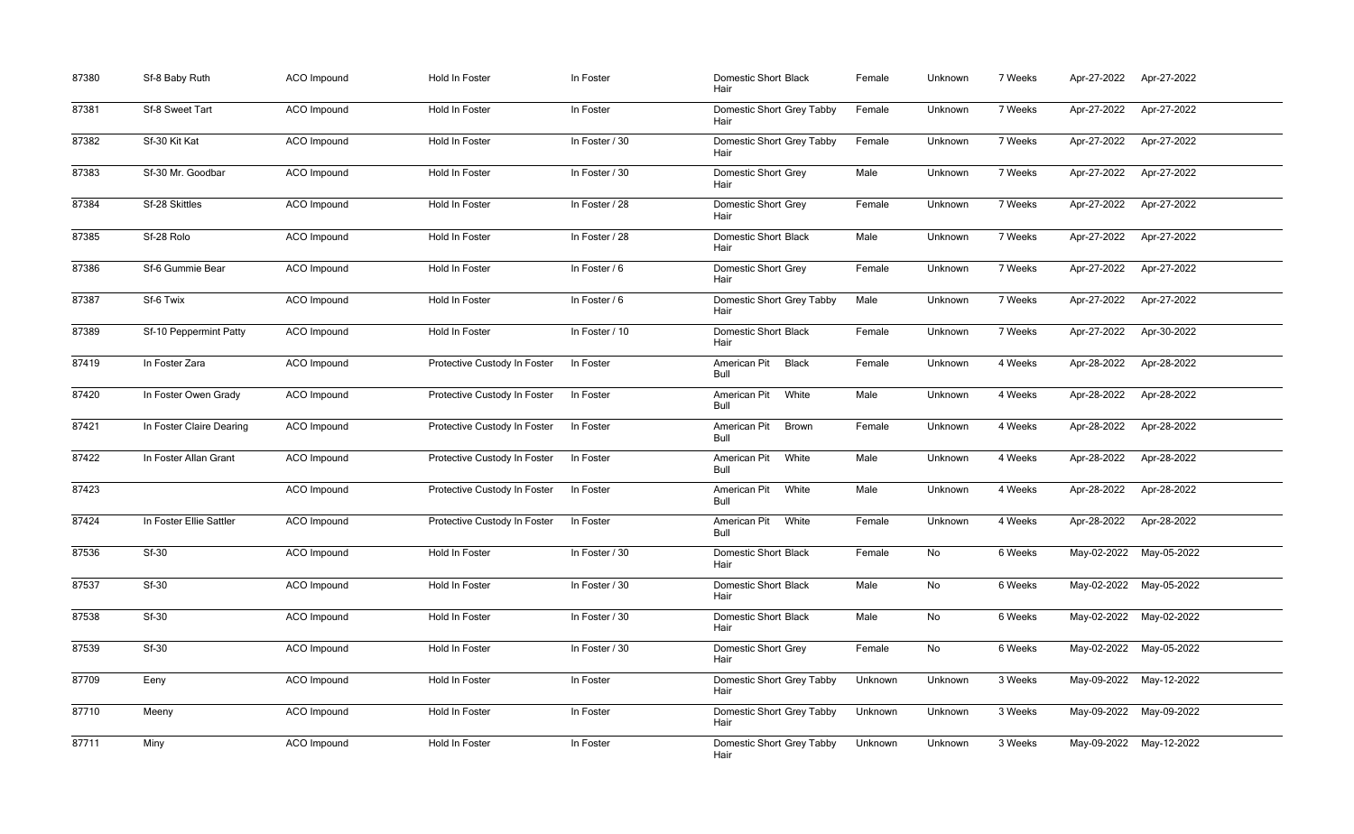| 87380 | Sf-8 Baby Ruth           | ACO Impound | Hold In Foster               | In Foster      | <b>Domestic Short Black</b><br>Hair  | Female  | Unknown | 7 Weeks | Apr-27-2022 | Apr-27-2022             |
|-------|--------------------------|-------------|------------------------------|----------------|--------------------------------------|---------|---------|---------|-------------|-------------------------|
| 87381 | Sf-8 Sweet Tart          | ACO Impound | Hold In Foster               | In Foster      | Domestic Short Grey Tabby<br>Hair    | Female  | Unknown | 7 Weeks | Apr-27-2022 | Apr-27-2022             |
| 87382 | Sf-30 Kit Kat            | ACO Impound | Hold In Foster               | In Foster / 30 | Domestic Short Grey Tabby<br>Hair    | Female  | Unknown | 7 Weeks | Apr-27-2022 | Apr-27-2022             |
| 87383 | Sf-30 Mr. Goodbar        | ACO Impound | Hold In Foster               | In Foster / 30 | <b>Domestic Short Grey</b><br>Hair   | Male    | Unknown | 7 Weeks | Apr-27-2022 | Apr-27-2022             |
| 87384 | Sf-28 Skittles           | ACO Impound | Hold In Foster               | In Foster / 28 | <b>Domestic Short Grey</b><br>Hair   | Female  | Unknown | 7 Weeks | Apr-27-2022 | Apr-27-2022             |
| 87385 | Sf-28 Rolo               | ACO Impound | Hold In Foster               | In Foster / 28 | <b>Domestic Short Black</b><br>Hair  | Male    | Unknown | 7 Weeks | Apr-27-2022 | Apr-27-2022             |
| 87386 | Sf-6 Gummie Bear         | ACO Impound | Hold In Foster               | In Foster / 6  | <b>Domestic Short Grey</b><br>Hair   | Female  | Unknown | 7 Weeks | Apr-27-2022 | Apr-27-2022             |
| 87387 | Sf-6 Twix                | ACO Impound | Hold In Foster               | In Foster / 6  | Domestic Short Grey Tabby<br>Hair    | Male    | Unknown | 7 Weeks | Apr-27-2022 | Apr-27-2022             |
| 87389 | Sf-10 Peppermint Patty   | ACO Impound | Hold In Foster               | In Foster / 10 | <b>Domestic Short Black</b><br>Hair  | Female  | Unknown | 7 Weeks | Apr-27-2022 | Apr-30-2022             |
| 87419 | In Foster Zara           | ACO Impound | Protective Custody In Foster | In Foster      | American Pit<br><b>Black</b><br>Bull | Female  | Unknown | 4 Weeks | Apr-28-2022 | Apr-28-2022             |
| 87420 | In Foster Owen Grady     | ACO Impound | Protective Custody In Foster | In Foster      | American Pit<br>White<br>Bull        | Male    | Unknown | 4 Weeks | Apr-28-2022 | Apr-28-2022             |
| 87421 | In Foster Claire Dearing | ACO Impound | Protective Custody In Foster | In Foster      | American Pit<br><b>Brown</b><br>Bull | Female  | Unknown | 4 Weeks | Apr-28-2022 | Apr-28-2022             |
| 87422 | In Foster Allan Grant    | ACO Impound | Protective Custody In Foster | In Foster      | American Pit<br>White<br>Bull        | Male    | Unknown | 4 Weeks | Apr-28-2022 | Apr-28-2022             |
| 87423 |                          | ACO Impound | Protective Custody In Foster | In Foster      | American Pit<br>White<br><b>Bull</b> | Male    | Unknown | 4 Weeks | Apr-28-2022 | Apr-28-2022             |
| 87424 | In Foster Ellie Sattler  | ACO Impound | Protective Custody In Foster | In Foster      | American Pit White<br>Bull           | Female  | Unknown | 4 Weeks | Apr-28-2022 | Apr-28-2022             |
| 87536 | <b>Sf-30</b>             | ACO Impound | Hold In Foster               | In Foster / 30 | <b>Domestic Short Black</b><br>Hair  | Female  | No      | 6 Weeks |             | May-02-2022 May-05-2022 |
| 87537 | <b>Sf-30</b>             | ACO Impound | Hold In Foster               | In Foster / 30 | <b>Domestic Short Black</b><br>Hair  | Male    | No      | 6 Weeks |             | May-02-2022 May-05-2022 |
| 87538 | <b>Sf-30</b>             | ACO Impound | Hold In Foster               | In Foster / 30 | <b>Domestic Short Black</b><br>Hair  | Male    | No      | 6 Weeks |             | May-02-2022 May-02-2022 |
| 87539 | <b>Sf-30</b>             | ACO Impound | Hold In Foster               | In Foster / 30 | <b>Domestic Short Grey</b><br>Hair   | Female  | No      | 6 Weeks |             | May-02-2022 May-05-2022 |
| 87709 | Eeny                     | ACO Impound | Hold In Foster               | In Foster      | Domestic Short Grey Tabby<br>Hair    | Unknown | Unknown | 3 Weeks |             | May-09-2022 May-12-2022 |
| 87710 | Meeny                    | ACO Impound | Hold In Foster               | In Foster      | Domestic Short Grey Tabby<br>Hair    | Unknown | Unknown | 3 Weeks |             | May-09-2022 May-09-2022 |
| 87711 | Miny                     | ACO Impound | Hold In Foster               | In Foster      | Domestic Short Grey Tabby<br>Hair    | Unknown | Unknown | 3 Weeks |             | May-09-2022 May-12-2022 |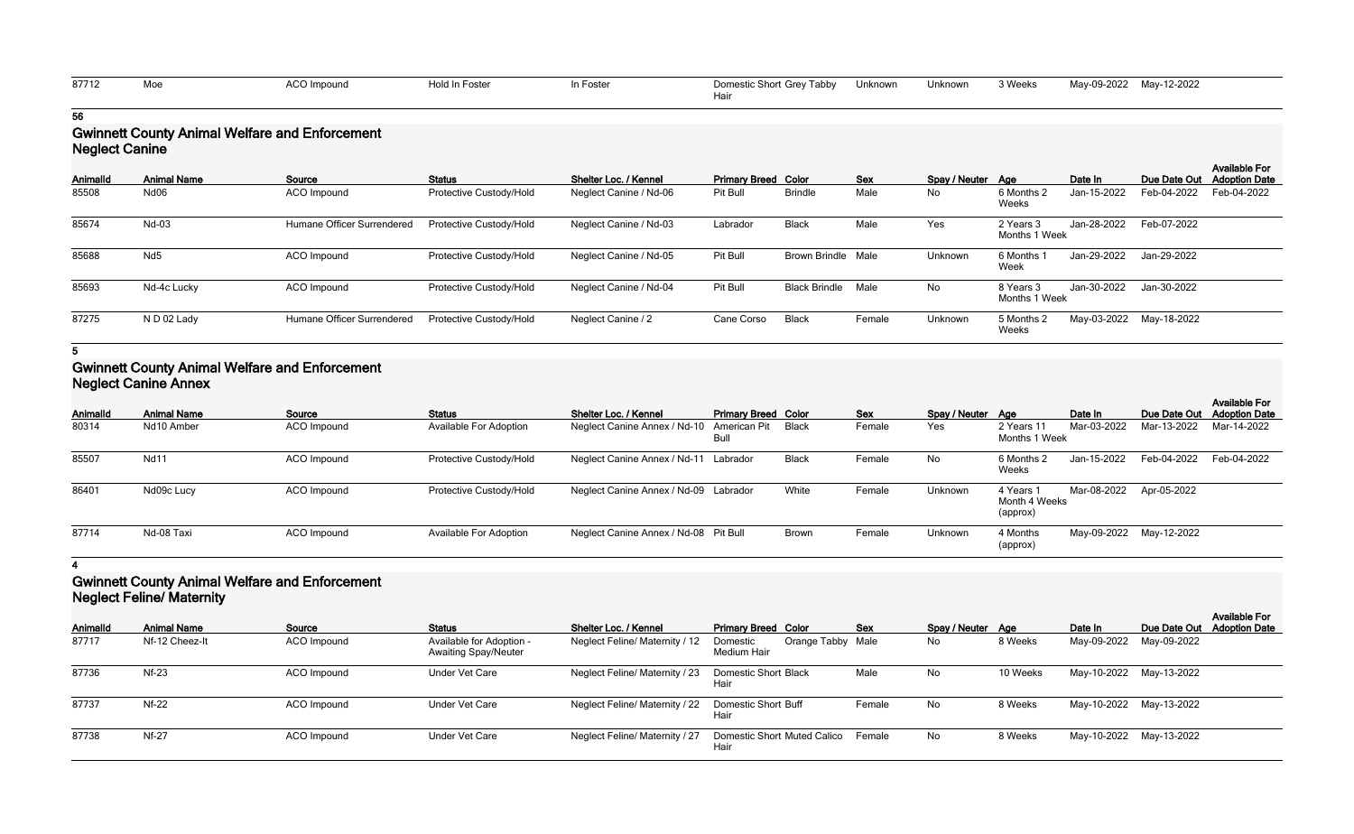| 87712 | ACO Impound<br>the contract of the contract of the contract of the contract of the contract of the contract of the contract of | Hold In Foster | In Foster | Domestic Short Grey Tabby Unknown | Unknown | 3 Weeks | May-09-2022 May-12-2022 |  |
|-------|--------------------------------------------------------------------------------------------------------------------------------|----------------|-----------|-----------------------------------|---------|---------|-------------------------|--|
|       |                                                                                                                                |                |           |                                   |         |         |                         |  |

## **Gwinnett County Animal Welfare and Enforcement Neglect Canine**

| <b>Neglect Canine</b> |                    |                            |                         |                        |                            |                           |            |                   |                            |             |                         |                                              |
|-----------------------|--------------------|----------------------------|-------------------------|------------------------|----------------------------|---------------------------|------------|-------------------|----------------------------|-------------|-------------------------|----------------------------------------------|
| Animalld              | <b>Animal Name</b> | Source                     | <b>Status</b>           | Shelter Loc. / Kennel  | <b>Primary Breed Color</b> |                           | <b>Sex</b> | Spay / Neuter Age |                            | Date In     | Due Date Out            | <b>Available For</b><br><b>Adoption Date</b> |
| 85508                 | Nd06               | ACO Impound                | Protective Custody/Hold | Neglect Canine / Nd-06 | Pit Bull                   | <b>Brindle</b>            | Male       | No                | 6 Months 2<br>Weeks        | Jan-15-2022 | Feb-04-2022             | Feb-04-2022                                  |
| 85674                 | Nd-03              | Humane Officer Surrendered | Protective Custody/Hold | Neglect Canine / Nd-03 | Labrador                   | Black                     | Male       | Yes               | 2 Years 3<br>Months 1 Week | Jan-28-2022 | Feb-07-2022             |                                              |
| 85688                 | Nd <sub>5</sub>    | ACO Impound                | Protective Custody/Hold | Neglect Canine / Nd-05 | Pit Bull                   | <b>Brown Brindle Male</b> |            | Unknown           | 6 Months 1<br>Week         | Jan-29-2022 | Jan-29-2022             |                                              |
| 85693                 | Nd-4c Lucky        | ACO Impound                | Protective Custody/Hold | Neglect Canine / Nd-04 | Pit Bull                   | Black Brindle             | Male       | No                | 8 Years 3<br>Months 1 Week | Jan-30-2022 | Jan-30-2022             |                                              |
| 87275                 | N D 02 Lady        | Humane Officer Surrendered | Protective Custody/Hold | Neglect Canine / 2     | Cane Corso                 | <b>Black</b>              | Female     | Unknown           | 5 Months 2<br>Weeks        |             | May-03-2022 May-18-2022 |                                              |

**5**

### **Gwinnett County Animal Welfare and Enforcement Neglect Canine Annex**

|          | <b>INGUIGOL CALIFIE ATTICY</b> |             |                               |                                       |                            |              |            |                   |                                        |                         |                         |                                              |  |
|----------|--------------------------------|-------------|-------------------------------|---------------------------------------|----------------------------|--------------|------------|-------------------|----------------------------------------|-------------------------|-------------------------|----------------------------------------------|--|
| AnimalId | <b>Animal Name</b>             | Source      | <b>Status</b>                 | Shelter Loc. / Kennel                 | <b>Primary Breed Color</b> |              | <b>Sex</b> | Spay / Neuter Age |                                        | Date In                 | Due Date Out            | <b>Available For</b><br><b>Adoption Date</b> |  |
| 80314    | Nd10 Amber                     | ACO Impound | <b>Available For Adoption</b> | Neglect Canine Annex / Nd-10          | American Pit Black<br>Bull |              | Female     | Yes               | 2 Years 11<br>Months 1 Week            | Mar-03-2022             | Mar-13-2022             | Mar-14-2022                                  |  |
| 85507    | <b>Nd11</b>                    | ACO Impound | Protective Custody/Hold       | Neglect Canine Annex / Nd-11 Labrador |                            | Black        | Female     | No                | 6 Months 2<br>Weeks                    | Jan-15-2022             | Feb-04-2022             | Feb-04-2022                                  |  |
| 86401    | Nd09c Lucy                     | ACO Impound | Protective Custody/Hold       | Neglect Canine Annex / Nd-09 Labrador |                            | White        | Female     | Unknown           | 4 Years 1<br>Month 4 Weeks<br>(approx) | Mar-08-2022 Apr-05-2022 |                         |                                              |  |
| 87714    | Nd-08 Taxi                     | ACO Impound | <b>Available For Adoption</b> | Neglect Canine Annex / Nd-08 Pit Bull |                            | <b>Brown</b> | Female     | Unknown           | 4 Months<br>(approx)                   |                         | May-09-2022 May-12-2022 |                                              |  |

#### **4**

## **Gwinnett County Animal Welfare and Enforcement Neglect Feline/ Maternity**

| <b>AnimalId</b> | <b>Animal Name</b> | Source             | <b>Status</b>                                           | Shelter Loc. / Kennel          | <b>Primary Breed Color</b>                   | <b>Sex</b> | Spay / Neuter Age |          | Date In |                         | <b>Available For</b><br>Due Date Out Adoption Date |
|-----------------|--------------------|--------------------|---------------------------------------------------------|--------------------------------|----------------------------------------------|------------|-------------------|----------|---------|-------------------------|----------------------------------------------------|
| 87717           | Nf-12 Cheez-It     | <b>ACO</b> Impound | Available for Adoption -<br><b>Awaiting Spay/Neuter</b> | Neglect Feline/ Maternity / 12 | Orange Tabby Male<br>Domestic<br>Medium Hair |            | No                | 8 Weeks  |         | May-09-2022 May-09-2022 |                                                    |
| 87736           | $Nf-23$            | <b>ACO</b> Impound | <b>Under Vet Care</b>                                   | Neglect Feline/ Maternity / 23 | <b>Domestic Short Black</b><br>Hair          | Male       | No                | 10 Weeks |         | May-10-2022 May-13-2022 |                                                    |
| 87737           | $Nf-22$            | ACO Impound        | <b>Under Vet Care</b>                                   | Neglect Feline/ Maternity / 22 | Domestic Short Buff<br>Hair                  | Female     | No                | 8 Weeks  |         | May-10-2022 May-13-2022 |                                                    |
| 87738           | <b>Nf-27</b>       | ACO Impound        | <b>Under Vet Care</b>                                   | Neglect Feline/ Maternity / 27 | <b>Domestic Short Muted Calico</b><br>Hair   | Female     | No                | 8 Weeks  |         | May-10-2022 May-13-2022 |                                                    |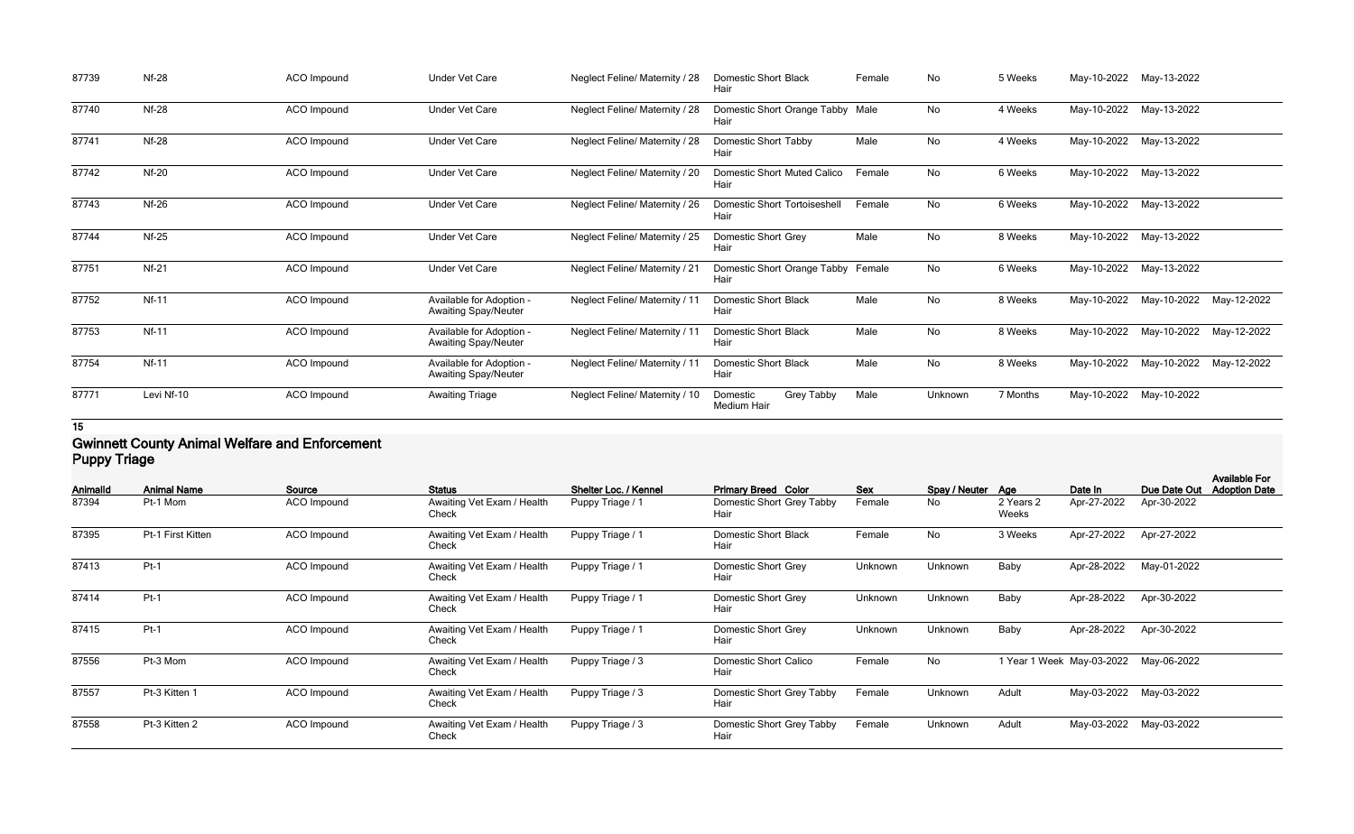| 87739 | <b>Nf-28</b> | ACO Impound | <b>Under Vet Care</b>                                   | Neglect Feline/ Maternity / 28        | <b>Domestic Short Black</b><br>Hair          | Female | No      | 5 Weeks  |             | May-10-2022 May-13-2022 |             |
|-------|--------------|-------------|---------------------------------------------------------|---------------------------------------|----------------------------------------------|--------|---------|----------|-------------|-------------------------|-------------|
| 87740 | <b>Nf-28</b> | ACO Impound | <b>Under Vet Care</b>                                   | Neglect Feline/ Maternity / 28        | Domestic Short Orange Tabby Male<br>Hair     |        | No      | 4 Weeks  | May-10-2022 | May-13-2022             |             |
| 87741 | <b>Nf-28</b> | ACO Impound | <b>Under Vet Care</b>                                   | Neglect Feline/ Maternity / 28        | Domestic Short Tabby<br>Hair                 | Male   | No      | 4 Weeks  | May-10-2022 | May-13-2022             |             |
| 87742 | $Nf-20$      | ACO Impound | <b>Under Vet Care</b>                                   | Neglect Feline/ Maternity / 20        | Domestic Short Muted Calico<br>Hair          | Female | No      | 6 Weeks  | May-10-2022 | May-13-2022             |             |
| 87743 | <b>Nf-26</b> | ACO Impound | <b>Under Vet Care</b>                                   | Neglect Feline/ Maternity / 26        | <b>Domestic Short Tortoiseshell</b><br>Hair  | Female | No      | 6 Weeks  | May-10-2022 | May-13-2022             |             |
| 87744 | $Nf-25$      | ACO Impound | <b>Under Vet Care</b>                                   | Neglect Feline/ Maternity / 25        | Domestic Short Grey<br>Hair                  | Male   | No      | 8 Weeks  | May-10-2022 | May-13-2022             |             |
| 87751 | $Nf-21$      | ACO Impound | <b>Under Vet Care</b>                                   | <b>Neglect Feline/ Maternity / 21</b> | Domestic Short Orange Tabby<br>Hair          | Female | No      | 6 Weeks  | May-10-2022 | May-13-2022             |             |
| 87752 | <b>Nf-11</b> | ACO Impound | Available for Adoption -<br><b>Awaiting Spay/Neuter</b> | Neglect Feline/ Maternity / 11        | <b>Domestic Short Black</b><br>Hair          | Male   | No      | 8 Weeks  | May-10-2022 | May-10-2022             | May-12-2022 |
| 87753 | <b>Nf-11</b> | ACO Impound | Available for Adoption -<br><b>Awaiting Spay/Neuter</b> | <b>Neglect Feline/ Maternity / 11</b> | <b>Domestic Short Black</b><br>Hair          | Male   | No      | 8 Weeks  | May-10-2022 | May-10-2022             | May-12-2022 |
| 87754 | <b>Nf-11</b> | ACO Impound | Available for Adoption -<br><b>Awaiting Spay/Neuter</b> | Neglect Feline/ Maternity / 11        | <b>Domestic Short Black</b><br>Hair          | Male   | No      | 8 Weeks  | May-10-2022 | May-10-2022             | May-12-2022 |
| 87771 | Levi Nf-10   | ACO Impound | <b>Awaiting Triage</b>                                  | Neglect Feline/ Maternity / 10        | Grey Tabby<br>Domestic<br><b>Medium Hair</b> | Male   | Unknown | 7 Months | May-10-2022 | May-10-2022             |             |

#### **Gwinnett County Animal Welfare and Enforcement Puppy Triage**

| - טייי ני       |                    |             |                                     |                       |                                      |         |                   |                    |                           |              | <b>Available For</b> |
|-----------------|--------------------|-------------|-------------------------------------|-----------------------|--------------------------------------|---------|-------------------|--------------------|---------------------------|--------------|----------------------|
| <b>AnimalId</b> | <b>Animal Name</b> | Source      | <b>Status</b>                       | Shelter Loc. / Kennel | <b>Primary Breed Color</b>           | Sex     | Spay / Neuter Age |                    | Date In                   | Due Date Out | <b>Adoption Date</b> |
| 87394           | Pt-1 Mom           | ACO Impound | Awaiting Vet Exam / Health<br>Check | Puppy Triage / 1      | Domestic Short Grey Tabby<br>Hair    | Female  | No                | 2 Years 2<br>Weeks | Apr-27-2022               | Apr-30-2022  |                      |
| 87395           | Pt-1 First Kitten  | ACO Impound | Awaiting Vet Exam / Health<br>Check | Puppy Triage / 1      | <b>Domestic Short Black</b><br>Hair  | Female  | <b>No</b>         | 3 Weeks            | Apr-27-2022               | Apr-27-2022  |                      |
| 87413           | $Pt-1$             | ACO Impound | Awaiting Vet Exam / Health<br>Check | Puppy Triage / 1      | Domestic Short Grey<br>Hair          | Unknown | Unknown           | Baby               | Apr-28-2022               | May-01-2022  |                      |
| 87414           | $Pt-1$             | ACO Impound | Awaiting Vet Exam / Health<br>Check | Puppy Triage / 1      | Domestic Short Grey<br>Hair          | Unknown | Unknown           | Baby               | Apr-28-2022               | Apr-30-2022  |                      |
| 87415           | $Pt-1$             | ACO Impound | Awaiting Vet Exam / Health<br>Check | Puppy Triage / 1      | Domestic Short Grey<br>Hair          | Unknown | Unknown           | Baby               | Apr-28-2022               | Apr-30-2022  |                      |
| 87556           | Pt-3 Mom           | ACO Impound | Awaiting Vet Exam / Health<br>Check | Puppy Triage / 3      | <b>Domestic Short Calico</b><br>Hair | Female  | No                |                    | 1 Year 1 Week May-03-2022 | May-06-2022  |                      |
| 87557           | Pt-3 Kitten 1      | ACO Impound | Awaiting Vet Exam / Health<br>Check | Puppy Triage / 3      | Domestic Short Grey Tabby<br>Hair    | Female  | Unknown           | Adult              | May-03-2022               | May-03-2022  |                      |
| 87558           | Pt-3 Kitten 2      | ACO Impound | Awaiting Vet Exam / Health<br>Check | Puppy Triage / 3      | Domestic Short Grey Tabby<br>Hair    | Female  | Unknown           | Adult              | May-03-2022               | May-03-2022  |                      |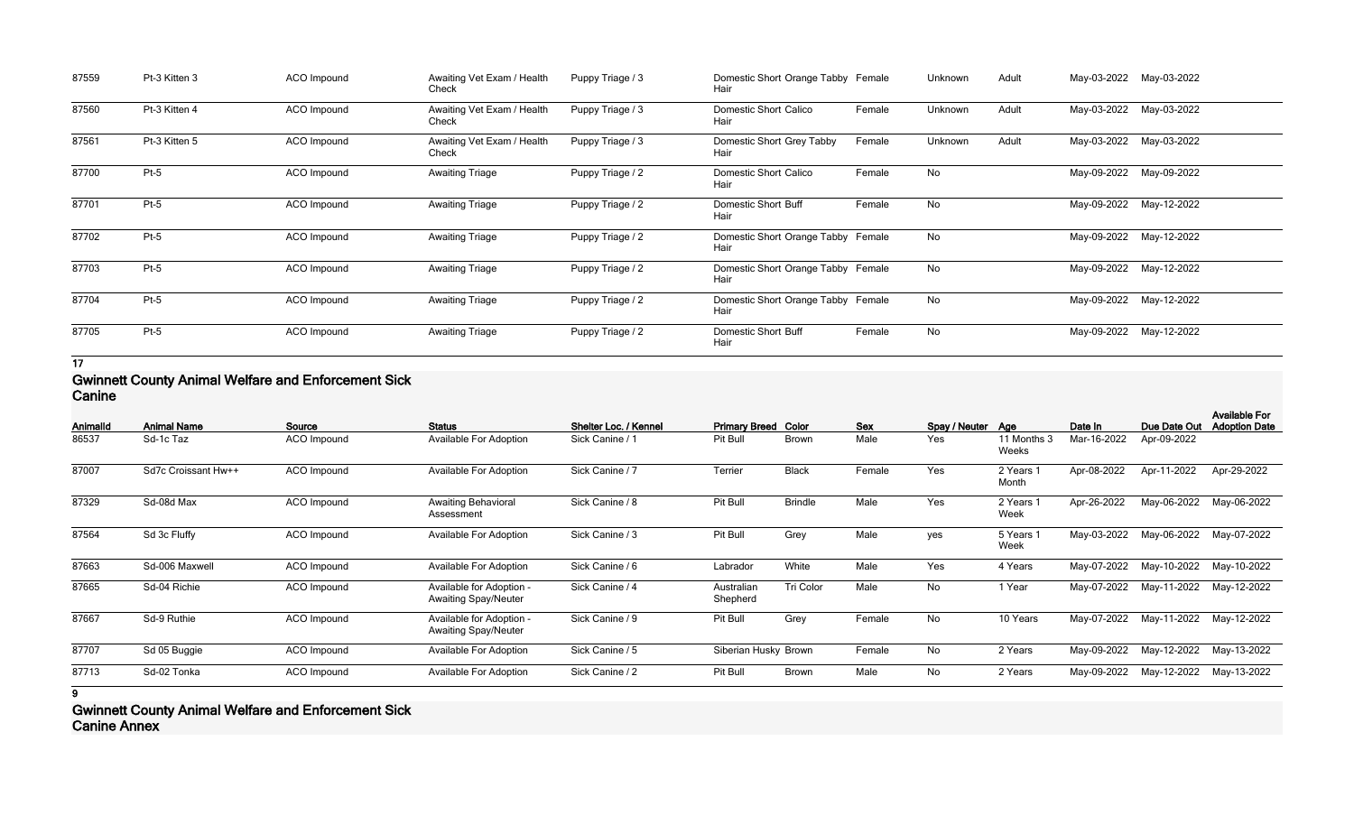| 87559 | Pt-3 Kitten 3 | ACO Impound | Awaiting Vet Exam / Health<br>Check | Puppy Triage / 3 | Domestic Short Orange Tabby Female<br>Hair |        | Unknown | Adult | May-03-2022 | May-03-2022 |
|-------|---------------|-------------|-------------------------------------|------------------|--------------------------------------------|--------|---------|-------|-------------|-------------|
| 87560 | Pt-3 Kitten 4 | ACO Impound | Awaiting Vet Exam / Health<br>Check | Puppy Triage / 3 | <b>Domestic Short Calico</b><br>Hair       | Female | Unknown | Adult | May-03-2022 | May-03-2022 |
| 87561 | Pt-3 Kitten 5 | ACO Impound | Awaiting Vet Exam / Health<br>Check | Puppy Triage / 3 | Domestic Short Grey Tabby<br>Hair          | Female | Unknown | Adult | May-03-2022 | May-03-2022 |
| 87700 | $Pt-5$        | ACO Impound | <b>Awaiting Triage</b>              | Puppy Triage / 2 | Domestic Short Calico<br>Hair              | Female | No      |       | May-09-2022 | May-09-2022 |
| 87701 | $Pt-5$        | ACO Impound | <b>Awaiting Triage</b>              | Puppy Triage / 2 | <b>Domestic Short Buff</b><br>Hair         | Female | No      |       | May-09-2022 | May-12-2022 |
| 87702 | $Pt-5$        | ACO Impound | <b>Awaiting Triage</b>              | Puppy Triage / 2 | Domestic Short Orange Tabby Female<br>Hair |        | No      |       | May-09-2022 | May-12-2022 |
| 87703 | $Pt-5$        | ACO Impound | <b>Awaiting Triage</b>              | Puppy Triage / 2 | Domestic Short Orange Tabby Female<br>Hair |        | No      |       | May-09-2022 | May-12-2022 |
| 87704 | $Pt-5$        | ACO Impound | <b>Awaiting Triage</b>              | Puppy Triage / 2 | Domestic Short Orange Tabby Female<br>Hair |        | No      |       | May-09-2022 | May-12-2022 |
| 87705 | $Pt-5$        | ACO Impound | <b>Awaiting Triage</b>              | Puppy Triage / 2 | <b>Domestic Short Buff</b><br>Hair         | Female | No      |       | May-09-2022 | May-12-2022 |

### **Gwinnett County Animal Welfare and Enforcement Sick Canine**

| Animalld | <b>Animal Name</b>  | Source      | <b>Status</b>                                           | Shelter Loc. / Kennel | <b>Primary Breed Color</b> |                | <b>Sex</b> | Spay / Neuter Age |                      | Date In     | Due Date Out | <b>Available For</b><br><b>Adoption Date</b> |
|----------|---------------------|-------------|---------------------------------------------------------|-----------------------|----------------------------|----------------|------------|-------------------|----------------------|-------------|--------------|----------------------------------------------|
| 86537    | Sd-1c Taz           | ACO Impound | <b>Available For Adoption</b>                           | Sick Canine / 1       | Pit Bull                   | <b>Brown</b>   | Male       | Yes               | 11 Months 3<br>Weeks | Mar-16-2022 | Apr-09-2022  |                                              |
| 87007    | Sd7c Croissant Hw++ | ACO Impound | <b>Available For Adoption</b>                           | Sick Canine / 7       | Terrier                    | <b>Black</b>   | Female     | Yes               | 2 Years 1<br>Month   | Apr-08-2022 | Apr-11-2022  | Apr-29-2022                                  |
| 87329    | Sd-08d Max          | ACO Impound | <b>Awaiting Behavioral</b><br>Assessment                | Sick Canine / 8       | Pit Bull                   | <b>Brindle</b> | Male       | Yes               | 2 Years 1<br>Week    | Apr-26-2022 | May-06-2022  | May-06-2022                                  |
| 87564    | Sd 3c Fluffy        | ACO Impound | <b>Available For Adoption</b>                           | Sick Canine / 3       | Pit Bull                   | Grey           | Male       | yes               | 5 Years 1<br>Week    | May-03-2022 | May-06-2022  | May-07-2022                                  |
| 87663    | Sd-006 Maxwell      | ACO Impound | <b>Available For Adoption</b>                           | Sick Canine / 6       | Labrador                   | White          | Male       | Yes               | 4 Years              | May-07-2022 | May-10-2022  | May-10-2022                                  |
| 87665    | Sd-04 Richie        | ACO Impound | Available for Adoption -<br><b>Awaiting Spay/Neuter</b> | Sick Canine / 4       | Australian<br>Shepherd     | Tri Color      | Male       | No                | 1 Year               | May-07-2022 | May-11-2022  | May-12-2022                                  |
| 87667    | Sd-9 Ruthie         | ACO Impound | Available for Adoption -<br><b>Awaiting Spay/Neuter</b> | Sick Canine / 9       | Pit Bull                   | Grey           | Female     | No                | 10 Years             | May-07-2022 | May-11-2022  | May-12-2022                                  |
| 87707    | Sd 05 Buggie        | ACO Impound | Available For Adoption                                  | Sick Canine / 5       | Siberian Husky Brown       |                | Female     | No                | 2 Years              | May-09-2022 | May-12-2022  | May-13-2022                                  |
| 87713    | Sd-02 Tonka         | ACO Impound | <b>Available For Adoption</b>                           | Sick Canine / 2       | Pit Bull                   | <b>Brown</b>   | Male       | No                | 2 Years              | May-09-2022 | May-12-2022  | May-13-2022                                  |
| 9        |                     |             |                                                         |                       |                            |                |            |                   |                      |             |              |                                              |

**Gwinnett County Animal Welfare and Enforcement Sick Canine Annex**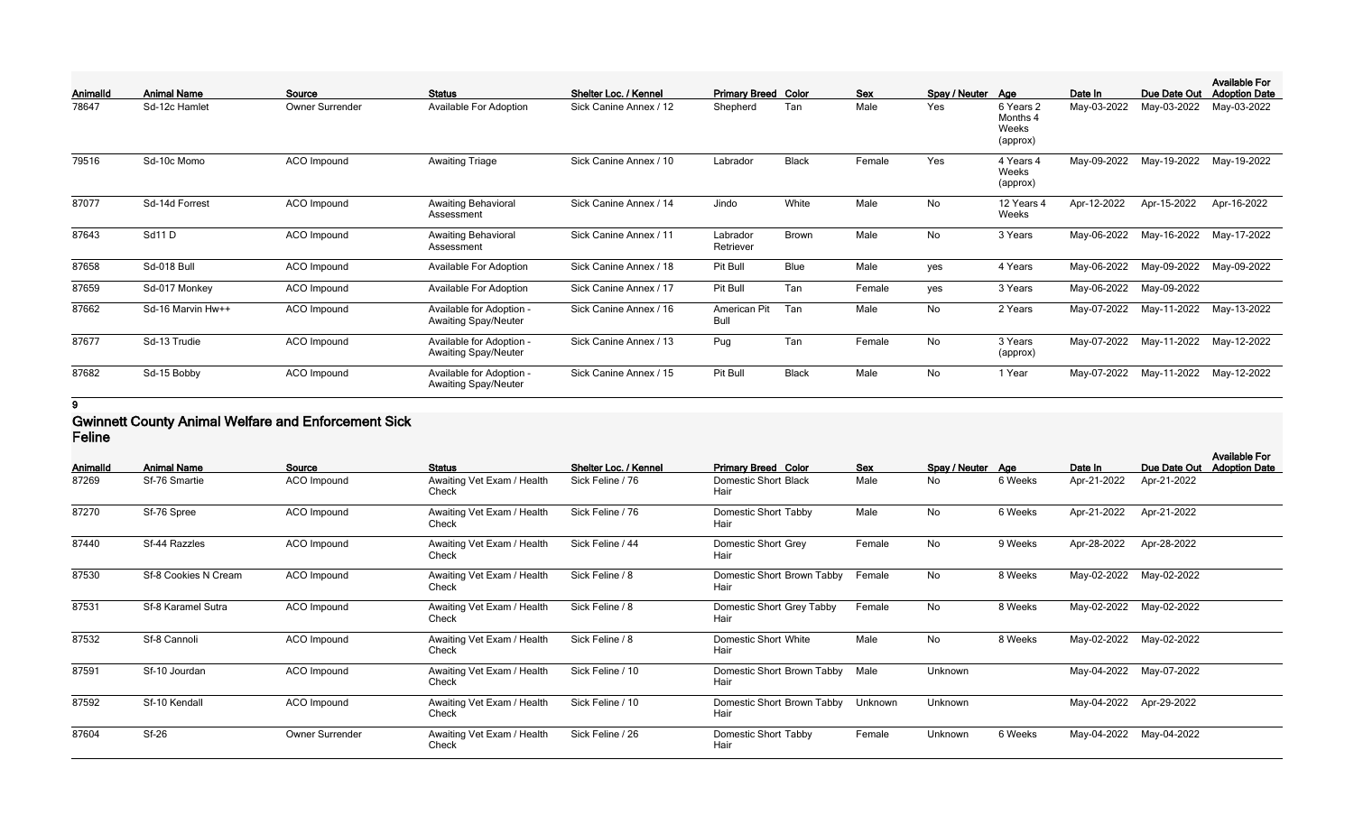|          |                    |                 |                                                         |                        |                            |              |            |                   |                                            |             |              | <b>Available For</b> |
|----------|--------------------|-----------------|---------------------------------------------------------|------------------------|----------------------------|--------------|------------|-------------------|--------------------------------------------|-------------|--------------|----------------------|
| Animalld | <b>Animal Name</b> | Source          | <b>Status</b>                                           | Shelter Loc. / Kennel  | <b>Primary Breed Color</b> |              | <b>Sex</b> | Spay / Neuter Age |                                            | Date In     | Due Date Out | <b>Adoption Date</b> |
| 78647    | Sd-12c Hamlet      | Owner Surrender | <b>Available For Adoption</b>                           | Sick Canine Annex / 12 | Shepherd                   | Tan          | Male       | Yes               | 6 Years 2<br>Months 4<br>Weeks<br>(approx) | May-03-2022 | May-03-2022  | May-03-2022          |
| 79516    | Sd-10c Momo        | ACO Impound     | <b>Awaiting Triage</b>                                  | Sick Canine Annex / 10 | Labrador                   | <b>Black</b> | Female     | Yes               | 4 Years 4<br>Weeks<br>(approx)             | May-09-2022 | May-19-2022  | May-19-2022          |
| 87077    | Sd-14d Forrest     | ACO Impound     | <b>Awaiting Behavioral</b><br>Assessment                | Sick Canine Annex / 14 | Jindo                      | White        | Male       | <b>No</b>         | 12 Years 4<br>Weeks                        | Apr-12-2022 | Apr-15-2022  | Apr-16-2022          |
| 87643    | Sd11D              | ACO Impound     | <b>Awaiting Behavioral</b><br>Assessment                | Sick Canine Annex / 11 | Labrador<br>Retriever      | <b>Brown</b> | Male       | No                | 3 Years                                    | May-06-2022 | May-16-2022  | May-17-2022          |
| 87658    | Sd-018 Bull        | ACO Impound     | <b>Available For Adoption</b>                           | Sick Canine Annex / 18 | Pit Bull                   | Blue         | Male       | yes               | 4 Years                                    | May-06-2022 | May-09-2022  | May-09-2022          |
| 87659    | Sd-017 Monkey      | ACO Impound     | Available For Adoption                                  | Sick Canine Annex / 17 | Pit Bull                   | Tan          | Female     | yes               | 3 Years                                    | May-06-2022 | May-09-2022  |                      |
| 87662    | Sd-16 Marvin Hw++  | ACO Impound     | Available for Adoption -<br><b>Awaiting Spay/Neuter</b> | Sick Canine Annex / 16 | American Pit<br>Bull       | Tan          | Male       | No                | 2 Years                                    | May-07-2022 | May-11-2022  | May-13-2022          |
| 87677    | Sd-13 Trudie       | ACO Impound     | Available for Adoption -<br><b>Awaiting Spay/Neuter</b> | Sick Canine Annex / 13 | Pug                        | Tan          | Female     | No                | 3 Years<br>(approx)                        | May-07-2022 | May-11-2022  | May-12-2022          |
| 87682    | Sd-15 Bobby        | ACO Impound     | Available for Adoption -<br><b>Awaiting Spay/Neuter</b> | Sick Canine Annex / 15 | Pit Bull                   | <b>Black</b> | Male       | No                | 1 Year                                     | May-07-2022 | May-11-2022  | May-12-2022          |

#### **Gwinnett County Animal Welfare and Enforcement Sick Feline**

| Animalld | <b>Animal Name</b>   | Source<br><b>Status</b> |                                     | Shelter Loc. / Kennel | <b>Primary Breed Color</b><br>Sex<br>Spay / Neuter Age |        |         |         | Date In     | Due Date Out            | <b>Available For</b><br><b>Adoption Date</b> |
|----------|----------------------|-------------------------|-------------------------------------|-----------------------|--------------------------------------------------------|--------|---------|---------|-------------|-------------------------|----------------------------------------------|
| 87269    | Sf-76 Smartie        | ACO Impound             | Awaiting Vet Exam / Health<br>Check | Sick Feline / 76      | <b>Domestic Short Black</b><br>Hair                    | Male   | No      | 6 Weeks | Apr-21-2022 | Apr-21-2022             |                                              |
| 87270    | Sf-76 Spree          | ACO Impound             | Awaiting Vet Exam / Health<br>Check | Sick Feline / 76      | <b>Domestic Short Tabby</b><br>Hair                    | Male   | No      | 6 Weeks | Apr-21-2022 | Apr-21-2022             |                                              |
| 87440    | Sf-44 Razzles        | ACO Impound             | Awaiting Vet Exam / Health<br>Check | Sick Feline / 44      | Domestic Short Grey<br>Hair                            | Female | No      | 9 Weeks | Apr-28-2022 | Apr-28-2022             |                                              |
| 87530    | Sf-8 Cookies N Cream | ACO Impound             | Awaiting Vet Exam / Health<br>Check | Sick Feline / 8       | Domestic Short Brown Tabby<br>Female<br>Hair           |        | No      | 8 Weeks |             | May-02-2022 May-02-2022 |                                              |
| 87531    | Sf-8 Karamel Sutra   | ACO Impound             | Awaiting Vet Exam / Health<br>Check | Sick Feline / 8       | Domestic Short Grey Tabby<br>Hair                      | Female | No      | 8 Weeks | May-02-2022 | May-02-2022             |                                              |
| 87532    | Sf-8 Cannoli         | ACO Impound             | Awaiting Vet Exam / Health<br>Check | Sick Feline / 8       | Domestic Short White<br>Hair                           | Male   | No      | 8 Weeks | May-02-2022 | May-02-2022             |                                              |
| 87591    | Sf-10 Jourdan        | ACO Impound             | Awaiting Vet Exam / Health<br>Check | Sick Feline / 10      | Domestic Short Brown Tabby<br>Hair                     | Male   | Unknown |         | May-04-2022 | May-07-2022             |                                              |
| 87592    | Sf-10 Kendall        | ACO Impound             | Awaiting Vet Exam / Health<br>Check | Sick Feline / 10      | Domestic Short Brown Tabby<br>Unknown<br>Hair          |        | Unknown |         | May-04-2022 | Apr-29-2022             |                                              |
| 87604    | $Sf-26$              | <b>Owner Surrender</b>  | Awaiting Vet Exam / Health<br>Check | Sick Feline / 26      | <b>Domestic Short Tabby</b><br>Hair                    | Female | Unknown | 6 Weeks | May-04-2022 | May-04-2022             |                                              |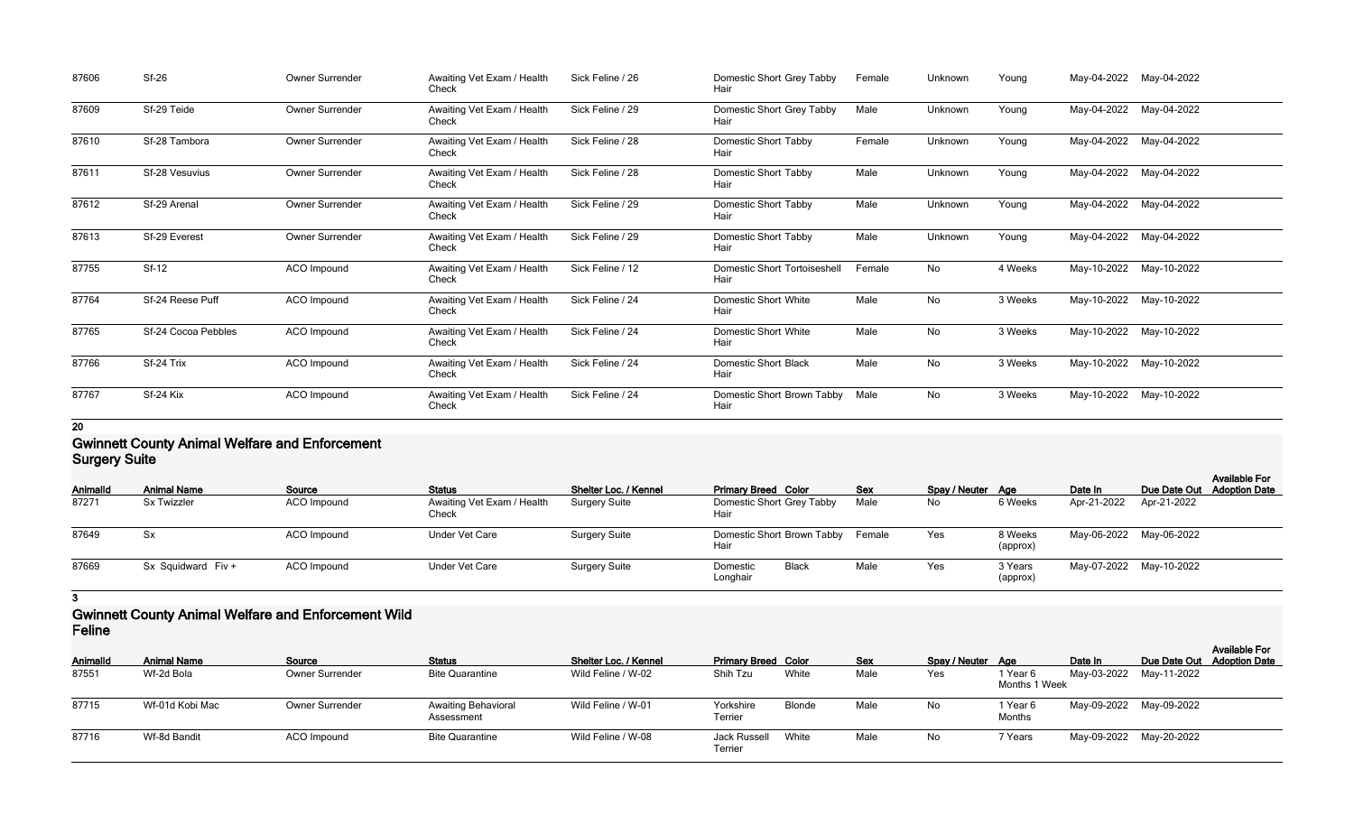| 87606 | <b>Sf-26</b>        | Owner Surrender | Awaiting Vet Exam / Health<br>Check | Sick Feline / 26 | Domestic Short Grey Tabby<br>Hair           | Female | Unknown | Young   |             | May-04-2022 May-04-2022 |
|-------|---------------------|-----------------|-------------------------------------|------------------|---------------------------------------------|--------|---------|---------|-------------|-------------------------|
| 87609 | Sf-29 Teide         | Owner Surrender | Awaiting Vet Exam / Health<br>Check | Sick Feline / 29 | Domestic Short Grey Tabby<br>Hair           | Male   | Unknown | Young   | May-04-2022 | May-04-2022             |
| 87610 | Sf-28 Tambora       | Owner Surrender | Awaiting Vet Exam / Health<br>Check | Sick Feline / 28 | <b>Domestic Short Tabby</b><br>Hair         | Female | Unknown | Young   | May-04-2022 | May-04-2022             |
| 87611 | Sf-28 Vesuvius      | Owner Surrender | Awaiting Vet Exam / Health<br>Check | Sick Feline / 28 | <b>Domestic Short Tabby</b><br>Hair         | Male   | Unknown | Young   | May-04-2022 | May-04-2022             |
| 87612 | Sf-29 Arenal        | Owner Surrender | Awaiting Vet Exam / Health<br>Check | Sick Feline / 29 | Domestic Short Tabby<br>Hair                | Male   | Unknown | Young   | May-04-2022 | May-04-2022             |
| 87613 | Sf-29 Everest       | Owner Surrender | Awaiting Vet Exam / Health<br>Check | Sick Feline / 29 | Domestic Short Tabby<br>Hair                | Male   | Unknown | Young   | May-04-2022 | May-04-2022             |
| 87755 | $Sf-12$             | ACO Impound     | Awaiting Vet Exam / Health<br>Check | Sick Feline / 12 | <b>Domestic Short Tortoiseshell</b><br>Hair | Female | No      | 4 Weeks | May-10-2022 | May-10-2022             |
| 87764 | Sf-24 Reese Puff    | ACO Impound     | Awaiting Vet Exam / Health<br>Check | Sick Feline / 24 | <b>Domestic Short White</b><br>Hair         | Male   | No      | 3 Weeks |             | May-10-2022 May-10-2022 |
| 87765 | Sf-24 Cocoa Pebbles | ACO Impound     | Awaiting Vet Exam / Health<br>Check | Sick Feline / 24 | <b>Domestic Short White</b><br>Hair         | Male   | No      | 3 Weeks |             | May-10-2022 May-10-2022 |
| 87766 | Sf-24 Trix          | ACO Impound     | Awaiting Vet Exam / Health<br>Check | Sick Feline / 24 | <b>Domestic Short Black</b><br>Hair         | Male   | No      | 3 Weeks | May-10-2022 | May-10-2022             |
| 87767 | Sf-24 Kix           | ACO Impound     | Awaiting Vet Exam / Health<br>Check | Sick Feline / 24 | Domestic Short Brown Tabby<br>Hair          | Male   | No      | 3 Weeks |             | May-10-2022 May-10-2022 |

#### **Gwinnett County Animal Welfare and Enforcement Surgery Suite**

| <b>Ourgery Ounce</b> |                    |                    |                                     |                              |                                      |            |                   |                     |             |                                                    |  |
|----------------------|--------------------|--------------------|-------------------------------------|------------------------------|--------------------------------------|------------|-------------------|---------------------|-------------|----------------------------------------------------|--|
| <b>AnimalId</b>      | <b>Animal Name</b> | Source             | <b>Status</b>                       | <b>Shelter Loc. / Kennel</b> | <b>Primary Breed Color</b>           | <b>Sex</b> | Spay / Neuter Age |                     | Date In     | <b>Available For</b><br>Due Date Out Adoption Date |  |
| 87271                | <b>Sx Twizzler</b> | ACO Impound        | Awaiting Vet Exam / Health<br>Check | Surgery Suite                | Domestic Short Grey Tabby<br>Hair    | Male       | No                | 6 Weeks             | Apr-21-2022 | Apr-21-2022                                        |  |
| 87649                | Sx                 | <b>ACO</b> Impound | <b>Under Vet Care</b>               | <b>Surgery Suite</b>         | Domestic Short Brown Tabby<br>Hair   | Female     | Yes               | 8 Weeks<br>(approx) |             | May-06-2022 May-06-2022                            |  |
| 87669                | Sx Squidward Fiv + | ACO Impound        | <b>Under Vet Care</b>               | <b>Surgery Suite</b>         | <b>Black</b><br>Domestic<br>Longhair | Male       | Yes               | 3 Years<br>(approx) |             | May-07-2022 May-10-2022                            |  |

#### **3**

#### **Gwinnett County Animal Welfare and Enforcement Wild Feline**

| -------         |                    |                        |                                          |                              |                            |               |            |                   |                           |         |                         | <b>Available For</b>       |
|-----------------|--------------------|------------------------|------------------------------------------|------------------------------|----------------------------|---------------|------------|-------------------|---------------------------|---------|-------------------------|----------------------------|
| <b>AnimalId</b> | <b>Animal Name</b> | Source                 | <b>Status</b>                            | <b>Shelter Loc. / Kennel</b> | <b>Primary Breed Color</b> |               | <b>Sex</b> | Spay / Neuter Age |                           | Date In |                         | Due Date Out Adoption Date |
| 87551           | Wf-2d Bola         | Owner Surrender        | <b>Bite Quarantine</b>                   | Wild Feline / W-02           | Shih Tzu                   | White         | Male       | Yes               | 1 Year 6<br>Months 1 Week |         | May-03-2022 May-11-2022 |                            |
| 87715           | Wf-01d Kobi Mac    | <b>Owner Surrender</b> | <b>Awaiting Behavioral</b><br>Assessment | Wild Feline / W-01           | Yorkshire<br>Terrier       | <b>Blonde</b> | Male       | No                | 1 Year 6<br>Months        |         | May-09-2022 May-09-2022 |                            |
| 87716           | Wf-8d Bandit       | ACO Impound            | <b>Bite Quarantine</b>                   | Wild Feline / W-08           | Jack Russell<br>Terrier    | White         | Male       | No                | 7 Years                   |         | May-09-2022 May-20-2022 |                            |